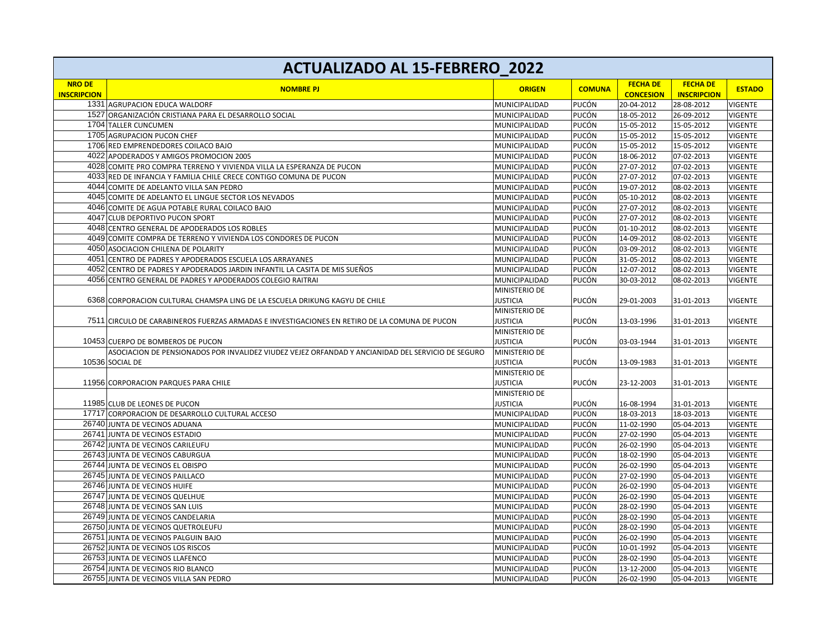| <b>ACTUALIZADO AL 15-FEBRERO_2022</b> |                                                                                                   |                 |               |                                     |                                       |                |
|---------------------------------------|---------------------------------------------------------------------------------------------------|-----------------|---------------|-------------------------------------|---------------------------------------|----------------|
| <b>NRO DE</b><br><b>INSCRIPCION</b>   | <b>NOMBRE PJ</b>                                                                                  | <b>ORIGEN</b>   | <b>COMUNA</b> | <b>FECHA DE</b><br><b>CONCESION</b> | <b>FECHA DE</b><br><b>INSCRIPCION</b> | <b>ESTADO</b>  |
|                                       | 1331 AGRUPACION EDUCA WALDORF                                                                     | MUNICIPALIDAD   | PUCÓN         | 20-04-2012                          | 28-08-2012                            | VIGENTE        |
|                                       | 1527 ORGANIZACIÓN CRISTIANA PARA EL DESARROLLO SOCIAL                                             | MUNICIPALIDAD   | PUCÓN         | 18-05-2012                          | 26-09-2012                            | VIGENTE        |
|                                       | 1704 TALLER CUNCUMEN                                                                              | MUNICIPALIDAD   | PUCÓN         | 15-05-2012                          | 15-05-2012                            | <b>VIGENTE</b> |
|                                       | 1705 AGRUPACION PUCON CHEF                                                                        | MUNICIPALIDAD   | PUCÓN         | 15-05-2012                          | 15-05-2012                            | <b>VIGENTE</b> |
|                                       | 1706 RED EMPRENDEDORES COILACO BAJO                                                               | MUNICIPALIDAD   | PUCÓN         | 15-05-2012                          | 15-05-2012                            | <b>VIGENTE</b> |
|                                       | 4022 APODERADOS Y AMIGOS PROMOCION 2005                                                           | MUNICIPALIDAD   | PUCÓN         | 18-06-2012                          | 07-02-2013                            | <b>VIGENTE</b> |
|                                       | 4028 COMITE PRO COMPRA TERRENO Y VIVIENDA VILLA LA ESPERANZA DE PUCON                             | MUNICIPALIDAD   | PUCÓN         | 27-07-2012                          | 07-02-2013                            | VIGENTE        |
|                                       | 4033 RED DE INFANCIA Y FAMILIA CHILE CRECE CONTIGO COMUNA DE PUCON                                | MUNICIPALIDAD   | PUCÓN         | 27-07-2012                          | 07-02-2013                            | VIGENTE        |
|                                       | 4044 COMITE DE ADELANTO VILLA SAN PEDRO                                                           | MUNICIPALIDAD   | PUCÓN         | 19-07-2012                          | 08-02-2013                            | VIGENTE        |
|                                       | 4045 COMITE DE ADELANTO EL LINGUE SECTOR LOS NEVADOS                                              | MUNICIPALIDAD   | PUCÓN         | 05-10-2012                          | 08-02-2013                            | <b>VIGENTE</b> |
|                                       | 4046 COMITE DE AGUA POTABLE RURAL COILACO BAJO                                                    | MUNICIPALIDAD   | PUCÓN         | 27-07-2012                          | 08-02-2013                            | <b>VIGENTE</b> |
|                                       | 4047 CLUB DEPORTIVO PUCON SPORT                                                                   | MUNICIPALIDAD   | PUCÓN         | 27-07-2012                          | 08-02-2013                            | <b>VIGENTE</b> |
|                                       | 4048 CENTRO GENERAL DE APODERADOS LOS ROBLES                                                      | MUNICIPALIDAD   | PUCÓN         | 01-10-2012                          | 08-02-2013                            | <b>VIGENTE</b> |
|                                       | 4049 COMITE COMPRA DE TERRENO Y VIVIENDA LOS CONDORES DE PUCON                                    | MUNICIPALIDAD   | PUCÓN         | 14-09-2012                          | 08-02-2013                            | <b>VIGENTE</b> |
|                                       | 4050 ASOCIACION CHILENA DE POLARITY                                                               | MUNICIPALIDAD   | PUCÓN         | 03-09-2012                          | 08-02-2013                            | <b>VIGENTE</b> |
|                                       | 4051 CENTRO DE PADRES Y APODERADOS ESCUELA LOS ARRAYANES                                          | MUNICIPALIDAD   | PUCÓN         | 31-05-2012                          | 08-02-2013                            | <b>VIGENTE</b> |
|                                       | 4052 CENTRO DE PADRES Y APODERADOS JARDIN INFANTIL LA CASITA DE MIS SUEÑOS                        | MUNICIPALIDAD   | PUCÓN         | 12-07-2012                          | 08-02-2013                            | <b>VIGENTE</b> |
|                                       | 4056 CENTRO GENERAL DE PADRES Y APODERADOS COLEGIO RAITRAI                                        | MUNICIPALIDAD   | PUCÓN         | 30-03-2012                          | 08-02-2013                            | <b>VIGENTE</b> |
|                                       |                                                                                                   | MINISTERIO DE   |               |                                     |                                       |                |
|                                       | 6368 CORPORACION CULTURAL CHAMSPA LING DE LA ESCUELA DRIKUNG KAGYU DE CHILE                       | <b>JUSTICIA</b> | PUCÓN         | 29-01-2003                          | 31-01-2013                            | VIGENTE        |
|                                       |                                                                                                   | MINISTERIO DE   |               |                                     |                                       |                |
|                                       | 7511 CIRCULO DE CARABINEROS FUERZAS ARMADAS E INVESTIGACIONES EN RETIRO DE LA COMUNA DE PUCON     | <b>JUSTICIA</b> | PUCÓN         | 13-03-1996                          | 31-01-2013                            | VIGENTE        |
|                                       |                                                                                                   | MINISTERIO DE   |               |                                     |                                       |                |
|                                       | 10453 CUERPO DE BOMBEROS DE PUCON                                                                 | <b>JUSTICIA</b> | PUCÓN         | 03-03-1944                          | 31-01-2013                            | <b>VIGENTE</b> |
|                                       | ASOCIACION DE PENSIONADOS POR INVALIDEZ VIUDEZ VEJEZ ORFANDAD Y ANCIANIDAD DEL SERVICIO DE SEGURO | MINISTERIO DE   |               |                                     |                                       |                |
|                                       | 10536 SOCIAL DE                                                                                   | <b>JUSTICIA</b> | PUCÓN         | 13-09-1983                          | 31-01-2013                            | VIGENTE        |
|                                       |                                                                                                   | MINISTERIO DE   |               |                                     |                                       |                |
|                                       | 11956 CORPORACION PARQUES PARA CHILE                                                              | <b>JUSTICIA</b> | PUCÓN         | 23-12-2003                          | 31-01-2013                            | <b>VIGENTE</b> |
|                                       |                                                                                                   | MINISTERIO DE   |               |                                     |                                       |                |
|                                       | 11985 CLUB DE LEONES DE PUCON                                                                     | <b>JUSTICIA</b> | PUCÓN         | 16-08-1994                          | 31-01-2013                            | <b>VIGENTE</b> |
|                                       | 17717 CORPORACION DE DESARROLLO CULTURAL ACCESO                                                   | MUNICIPALIDAD   | PUCÓN         | 18-03-2013                          | 18-03-2013                            | <b>VIGENTE</b> |
|                                       | 26740 JUNTA DE VECINOS ADUANA                                                                     | MUNICIPALIDAD   | PUCÓN         | 11-02-1990                          | 05-04-2013                            | VIGENTE        |
|                                       | 26741 JUNTA DE VECINOS ESTADIO                                                                    | MUNICIPALIDAD   | PUCÓN         | 27-02-1990                          | 05-04-2013                            | <b>VIGENTE</b> |
|                                       | 26742 JUNTA DE VECINOS CARILEUFU                                                                  | MUNICIPALIDAD   | PUCÓN         | 26-02-1990                          | 05-04-2013                            | <b>VIGENTE</b> |
|                                       | 26743 JUNTA DE VECINOS CABURGUA                                                                   | MUNICIPALIDAD   | PUCÓN         | 18-02-1990                          | 05-04-2013                            | VIGENTE        |
|                                       | 26744 JUNTA DE VECINOS EL OBISPO                                                                  | MUNICIPALIDAD   | PUCÓN         | 26-02-1990                          | 05-04-2013                            | <b>VIGENTE</b> |
|                                       | 26745 JUNTA DE VECINOS PAILLACO                                                                   | MUNICIPALIDAD   | PUCÓN         | 27-02-1990                          | 05-04-2013                            | <b>VIGENTE</b> |
|                                       | 26746 JUNTA DE VECINOS HUIFE                                                                      | MUNICIPALIDAD   | PUCÓN         | 26-02-1990                          | 05-04-2013                            | <b>VIGENTE</b> |
|                                       | 26747 JUNTA DE VECINOS QUELHUE                                                                    | MUNICIPALIDAD   | PUCÓN         | 26-02-1990                          | 05-04-2013                            | <b>VIGENTE</b> |
|                                       | 26748 JUNTA DE VECINOS SAN LUIS                                                                   | MUNICIPALIDAD   | PUCÓN         | 28-02-1990                          | 05-04-2013                            | <b>VIGENTE</b> |
|                                       | 26749 JUNTA DE VECINOS CANDELARIA                                                                 | MUNICIPALIDAD   | PUCÓN         | 28-02-1990                          | 05-04-2013                            | VIGENTE        |
|                                       | 26750 JUNTA DE VECINOS QUETROLEUFU                                                                | MUNICIPALIDAD   | PUCÓN         | 28-02-1990                          | 05-04-2013                            | VIGENTE        |
|                                       | 26751 JUNTA DE VECINOS PALGUIN BAJO                                                               | MUNICIPALIDAD   | PUCÓN         | 26-02-1990                          | 05-04-2013                            | VIGENTE        |
|                                       | 26752 JUNTA DE VECINOS LOS RISCOS                                                                 | MUNICIPALIDAD   | PUCÓN         | 10-01-1992                          | 05-04-2013                            | <b>VIGENTE</b> |
|                                       | 26753 JUNTA DE VECINOS LLAFENCO                                                                   | MUNICIPALIDAD   | PUCÓN         | 28-02-1990                          | 05-04-2013                            | <b>VIGENTE</b> |
|                                       | 26754 JUNTA DE VECINOS RIO BLANCO                                                                 | MUNICIPALIDAD   | PUCÓN         | 13-12-2000                          | 05-04-2013                            | VIGENTE        |
|                                       | 26755 JUNTA DE VECINOS VILLA SAN PEDRO                                                            | MUNICIPALIDAD   | PUCÓN         | 26-02-1990                          | 05-04-2013                            | <b>VIGENTE</b> |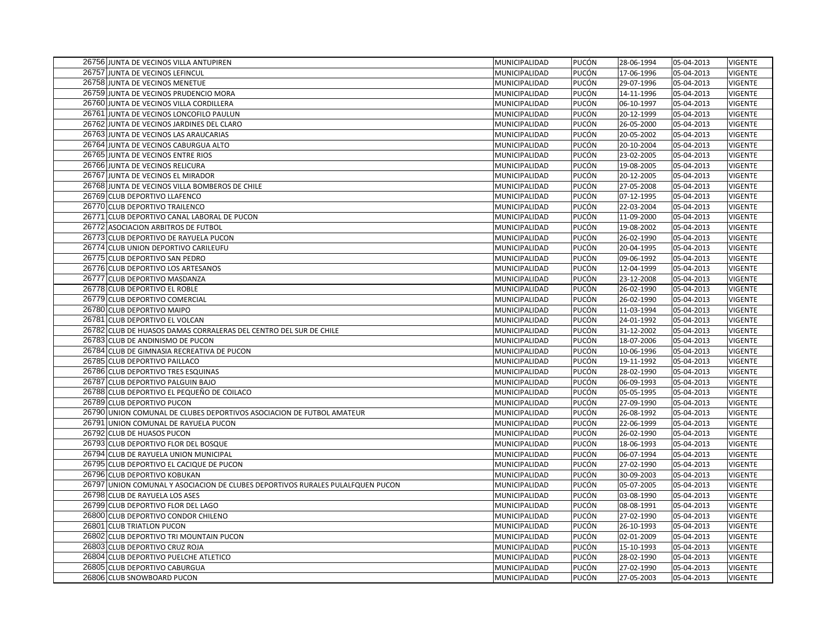| 26756 JUNTA DE VECINOS VILLA ANTUPIREN                                         | MUNICIPALIDAD | PUCÓN | 28-06-1994 | 05-04-2013 | <b>VIGENTE</b> |
|--------------------------------------------------------------------------------|---------------|-------|------------|------------|----------------|
| 26757 JUNTA DE VECINOS LEFINCUL                                                | MUNICIPALIDAD | PUCÓN | 17-06-1996 | 05-04-2013 | <b>VIGENTE</b> |
| 26758 JUNTA DE VECINOS MENETUE                                                 | MUNICIPALIDAD | PUCÓN | 29-07-1996 | 05-04-2013 | <b>VIGENTE</b> |
| 26759 JUNTA DE VECINOS PRUDENCIO MORA                                          | MUNICIPALIDAD | PUCÓN | 14-11-1996 | 05-04-2013 | <b>VIGENTE</b> |
| 26760 JUNTA DE VECINOS VILLA CORDILLERA                                        | MUNICIPALIDAD | PUCÓN | 06-10-1997 | 05-04-2013 | <b>VIGENTE</b> |
| 26761 JUNTA DE VECINOS LONCOFILO PAULUN                                        | MUNICIPALIDAD | PUCÓN | 20-12-1999 | 05-04-2013 | <b>VIGENTE</b> |
| 26762 JUNTA DE VECINOS JARDINES DEL CLARO                                      | MUNICIPALIDAD | PUCÓN | 26-05-2000 | 05-04-2013 | <b>VIGENTE</b> |
| 26763 JUNTA DE VECINOS LAS ARAUCARIAS                                          | MUNICIPALIDAD | PUCÓN | 20-05-2002 | 05-04-2013 | <b>VIGENTE</b> |
| 26764 JUNTA DE VECINOS CABURGUA ALTO                                           | MUNICIPALIDAD | PUCÓN | 20-10-2004 | 05-04-2013 | <b>VIGENTE</b> |
| 26765 JUNTA DE VECINOS ENTRE RIOS                                              | MUNICIPALIDAD | PUCÓN | 23-02-2005 | 05-04-2013 | <b>VIGENTE</b> |
| 26766 JUNTA DE VECINOS RELICURA                                                | MUNICIPALIDAD | PUCÓN | 19-08-2005 | 05-04-2013 | <b>VIGENTE</b> |
| 26767 JUNTA DE VECINOS EL MIRADOR                                              | MUNICIPALIDAD | PUCÓN | 20-12-2005 | 05-04-2013 | <b>VIGENTE</b> |
| 26768 JUNTA DE VECINOS VILLA BOMBEROS DE CHILE                                 | MUNICIPALIDAD | PUCÓN | 27-05-2008 | 05-04-2013 | <b>VIGENTE</b> |
| 26769 CLUB DEPORTIVO LLAFENCO                                                  | MUNICIPALIDAD | PUCÓN | 07-12-1995 | 05-04-2013 | <b>VIGENTE</b> |
| 26770 CLUB DEPORTIVO TRAILENCO                                                 | MUNICIPALIDAD | PUCÓN | 22-03-2004 | 05-04-2013 | <b>VIGENTE</b> |
| 26771 CLUB DEPORTIVO CANAL LABORAL DE PUCON                                    | MUNICIPALIDAD | PUCÓN | 11-09-2000 | 05-04-2013 | <b>VIGENTE</b> |
| 26772 ASOCIACION ARBITROS DE FUTBOL                                            | MUNICIPALIDAD | PUCÓN | 19-08-2002 | 05-04-2013 | <b>VIGENTE</b> |
| 26773 CLUB DEPORTIVO DE RAYUELA PUCON                                          | MUNICIPALIDAD | PUCÓN | 26-02-1990 | 05-04-2013 | <b>VIGENTE</b> |
| 26774 CLUB UNION DEPORTIVO CARILEUFU                                           | MUNICIPALIDAD | PUCÓN | 20-04-1995 | 05-04-2013 | <b>VIGENTE</b> |
| 26775 CLUB DEPORTIVO SAN PEDRO                                                 | MUNICIPALIDAD | PUCÓN | 09-06-1992 | 05-04-2013 | <b>VIGENTE</b> |
| 26776 CLUB DEPORTIVO LOS ARTESANOS                                             | MUNICIPALIDAD | PUCÓN | 12-04-1999 | 05-04-2013 | <b>VIGENTE</b> |
| 26777 CLUB DEPORTIVO MASDANZA                                                  | MUNICIPALIDAD | PUCÓN | 23-12-2008 | 05-04-2013 | <b>VIGENTE</b> |
| 26778 CLUB DEPORTIVO EL ROBLE                                                  | MUNICIPALIDAD | PUCÓN | 26-02-1990 | 05-04-2013 | <b>VIGENTE</b> |
| 26779 CLUB DEPORTIVO COMERCIAL                                                 | MUNICIPALIDAD | PUCÓN | 26-02-1990 | 05-04-2013 | <b>VIGENTE</b> |
| 26780 CLUB DEPORTIVO MAIPO                                                     | MUNICIPALIDAD | PUCÓN | 11-03-1994 | 05-04-2013 | <b>VIGENTE</b> |
| 26781 CLUB DEPORTIVO EL VOLCAN                                                 | MUNICIPALIDAD | PUCÓN | 24-01-1992 | 05-04-2013 | <b>VIGENTE</b> |
| 26782 CLUB DE HUASOS DAMAS CORRALERAS DEL CENTRO DEL SUR DE CHILE              | MUNICIPALIDAD | PUCÓN | 31-12-2002 | 05-04-2013 | <b>VIGENTE</b> |
| 26783 CLUB DE ANDINISMO DE PUCON                                               | MUNICIPALIDAD | PUCÓN | 18-07-2006 | 05-04-2013 | <b>VIGENTE</b> |
| 26784 CLUB DE GIMNASIA RECREATIVA DE PUCON                                     | MUNICIPALIDAD | PUCÓN | 10-06-1996 | 05-04-2013 | <b>VIGENTE</b> |
| 26785 CLUB DEPORTIVO PAILLACO                                                  | MUNICIPALIDAD | PUCÓN | 19-11-1992 | 05-04-2013 | <b>VIGENTE</b> |
| 26786 CLUB DEPORTIVO TRES ESQUINAS                                             | MUNICIPALIDAD | PUCÓN | 28-02-1990 | 05-04-2013 | <b>VIGENTE</b> |
| 26787 CLUB DEPORTIVO PALGUIN BAJO                                              | MUNICIPALIDAD | PUCÓN | 06-09-1993 | 05-04-2013 | <b>VIGENTE</b> |
| 26788 CLUB DEPORTIVO EL PEQUEÑO DE COILACO                                     | MUNICIPALIDAD | PUCÓN | 05-05-1995 | 05-04-2013 | <b>VIGENTE</b> |
| 26789 CLUB DEPORTIVO PUCON                                                     | MUNICIPALIDAD | PUCÓN | 27-09-1990 | 05-04-2013 | <b>VIGENTE</b> |
| 26790 UNION COMUNAL DE CLUBES DEPORTIVOS ASOCIACION DE FUTBOL AMATEUR          | MUNICIPALIDAD | PUCÓN | 26-08-1992 | 05-04-2013 | <b>VIGENTE</b> |
| 26791 UNION COMUNAL DE RAYUELA PUCON                                           | MUNICIPALIDAD | PUCÓN | 22-06-1999 | 05-04-2013 | <b>VIGENTE</b> |
| 26792 CLUB DE HUASOS PUCON                                                     | MUNICIPALIDAD | PUCÓN | 26-02-1990 | 05-04-2013 | <b>VIGENTE</b> |
| 26793 CLUB DEPORTIVO FLOR DEL BOSQUE                                           | MUNICIPALIDAD | PUCÓN | 18-06-1993 | 05-04-2013 | <b>VIGENTE</b> |
| 26794 CLUB DE RAYUELA UNION MUNICIPAL                                          | MUNICIPALIDAD | PUCÓN | 06-07-1994 | 05-04-2013 | <b>VIGENTE</b> |
| 26795 CLUB DEPORTIVO EL CACIQUE DE PUCON                                       | MUNICIPALIDAD | PUCÓN | 27-02-1990 | 05-04-2013 | <b>VIGENTE</b> |
| 26796 CLUB DEPORTIVO KOBUKAN                                                   | MUNICIPALIDAD | PUCÓN | 30-09-2003 | 05-04-2013 | <b>VIGENTE</b> |
| 26797 UNION COMUNAL Y ASOCIACION DE CLUBES DEPORTIVOS RURALES PULALFQUEN PUCON | MUNICIPALIDAD | PUCÓN | 05-07-2005 | 05-04-2013 | <b>VIGENTE</b> |
| 26798 CLUB DE RAYUELA LOS ASES                                                 | MUNICIPALIDAD | PUCÓN | 03-08-1990 | 05-04-2013 | <b>VIGENTE</b> |
| 26799 CLUB DEPORTIVO FLOR DEL LAGO                                             | MUNICIPALIDAD | PUCÓN | 08-08-1991 | 05-04-2013 | <b>VIGENTE</b> |
| 26800 CLUB DEPORTIVO CONDOR CHILENO                                            | MUNICIPALIDAD | PUCÓN | 27-02-1990 | 05-04-2013 | <b>VIGENTE</b> |
| 26801 CLUB TRIATLON PUCON                                                      | MUNICIPALIDAD | PUCÓN | 26-10-1993 | 05-04-2013 | <b>VIGENTE</b> |
| 26802 CLUB DEPORTIVO TRI MOUNTAIN PUCON                                        | MUNICIPALIDAD | PUCÓN | 02-01-2009 | 05-04-2013 | <b>VIGENTE</b> |
| 26803 CLUB DEPORTIVO CRUZ ROJA                                                 | MUNICIPALIDAD | PUCÓN | 15-10-1993 | 05-04-2013 | <b>VIGENTE</b> |
| 26804 CLUB DEPORTIVO PUELCHE ATLETICO                                          | MUNICIPALIDAD | PUCÓN | 28-02-1990 | 05-04-2013 | <b>VIGENTE</b> |
| 26805 CLUB DEPORTIVO CABURGUA                                                  | MUNICIPALIDAD | PUCÓN | 27-02-1990 | 05-04-2013 | <b>VIGENTE</b> |
| 26806 CLUB SNOWBOARD PUCON                                                     | MUNICIPALIDAD | PUCÓN | 27-05-2003 | 05-04-2013 | <b>VIGENTE</b> |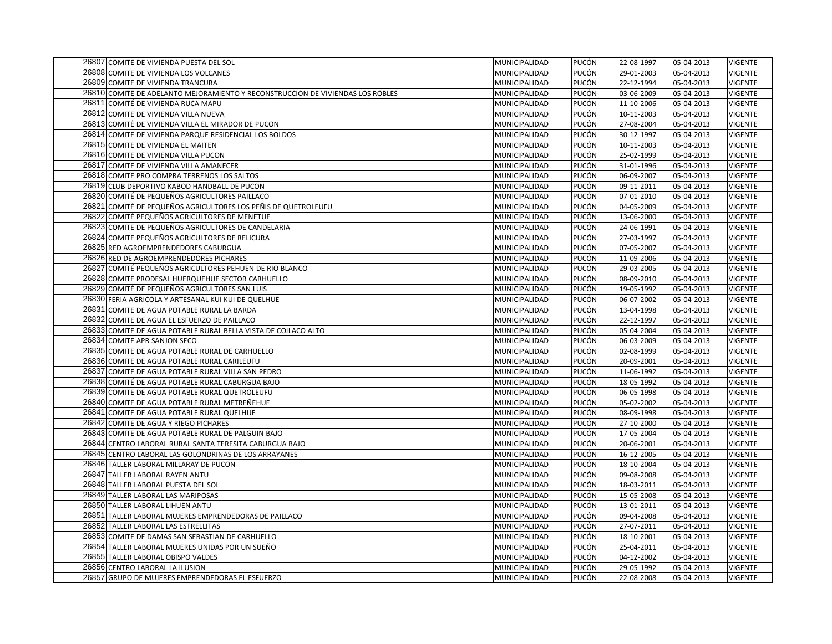| 26807 COMITE DE VIVIENDA PUESTA DEL SOL                                             | MUNICIPALIDAD                  | PUCÓN          | 22-08-1997               | 05-04-2013               | <b>VIGENTE</b> |
|-------------------------------------------------------------------------------------|--------------------------------|----------------|--------------------------|--------------------------|----------------|
| 26808 COMITE DE VIVIENDA LOS VOLCANES                                               | MUNICIPALIDAD                  | PUCÓN          | 29-01-2003               | 05-04-2013               | <b>VIGENTE</b> |
| 26809 COMITE DE VIVIENDA TRANCURA                                                   | MUNICIPALIDAD                  | PUCÓN          | 22-12-1994               | 05-04-2013               | <b>VIGENTE</b> |
| 26810 COMITE DE ADELANTO MEJORAMIENTO Y RECONSTRUCCION DE VIVIENDAS LOS ROBLES      | MUNICIPALIDAD                  | PUCÓN          | 03-06-2009               | 05-04-2013               | <b>VIGENTE</b> |
| 26811 COMITÉ DE VIVIENDA RUCA MAPU                                                  | MUNICIPALIDAD                  | PUCÓN          | 11-10-2006               | 05-04-2013               | <b>VIGENTE</b> |
| 26812 COMITE DE VIVIENDA VILLA NUEVA                                                | MUNICIPALIDAD                  | PUCÓN          | 10-11-2003               | 05-04-2013               | <b>VIGENTE</b> |
| 26813 COMITÉ DE VIVIENDA VILLA EL MIRADOR DE PUCON                                  | MUNICIPALIDAD                  | PUCÓN          | 27-08-2004               | 05-04-2013               | <b>VIGENTE</b> |
| 26814 COMITE DE VIVIENDA PARQUE RESIDENCIAL LOS BOLDOS                              | MUNICIPALIDAD                  | PUCÓN          | 30-12-1997               | 05-04-2013               | VIGENTE        |
| 26815 COMITE DE VIVIENDA EL MAITEN                                                  | MUNICIPALIDAD                  | PUCÓN          | 10-11-2003               | 05-04-2013               | <b>VIGENTE</b> |
| 26816 COMITE DE VIVIENDA VILLA PUCON                                                | MUNICIPALIDAD                  | PUCÓN          | 25-02-1999               | 05-04-2013               | <b>VIGENTE</b> |
| 26817 COMITE DE VIVIENDA VILLA AMANECER                                             | MUNICIPALIDAD                  | PUCÓN          | 31-01-1996               | 05-04-2013               | <b>VIGENTE</b> |
| 26818 COMITE PRO COMPRA TERRENOS LOS SALTOS                                         | MUNICIPALIDAD                  | PUCÓN          | 06-09-2007               | 05-04-2013               | VIGENTE        |
| 26819 CLUB DEPORTIVO KABOD HANDBALL DE PUCON                                        | MUNICIPALIDAD                  | PUCÓN          | 09-11-2011               | 05-04-2013               | VIGENTE        |
| 26820 COMITÉ DE PEQUEÑOS AGRICULTORES PAILLACO                                      | MUNICIPALIDAD                  | PUCÓN          | 07-01-2010               | 05-04-2013               | <b>VIGENTE</b> |
| 26821 COMITÉ DE PEQUEÑOS AGRICULTORES LOS PEÑIS DE QUETROLEUFU                      | MUNICIPALIDAD                  | PUCÓN          | 04-05-2009               | 05-04-2013               | <b>VIGENTE</b> |
| 26822 COMITÉ PEQUEÑOS AGRICULTORES DE MENETUE                                       | MUNICIPALIDAD                  | PUCÓN          | 13-06-2000               | 05-04-2013               | VIGENTE        |
| 26823 COMITE DE PEQUEÑOS AGRICULTORES DE CANDELARIA                                 | MUNICIPALIDAD                  | PUCÓN          | 24-06-1991               | 05-04-2013               | <b>VIGENTE</b> |
| 26824 COMITE PEQUEÑOS AGRICULTORES DE RELICURA                                      | MUNICIPALIDAD                  | PUCÓN          | 27-03-1997               | 05-04-2013               | <b>VIGENTE</b> |
| 26825 RED AGROEMPRENDEDORES CABURGUA                                                | MUNICIPALIDAD                  | PUCÓN          | 07-05-2007               | 05-04-2013               | <b>VIGENTE</b> |
| 26826 RED DE AGROEMPRENDEDORES PICHARES                                             | MUNICIPALIDAD                  | PUCÓN          | 11-09-2006               | 05-04-2013               | <b>VIGENTE</b> |
| 26827 COMITÉ PEQUEÑOS AGRICULTORES PEHUEN DE RIO BLANCO                             | MUNICIPALIDAD                  | PUCÓN          | 29-03-2005               | 05-04-2013               | <b>VIGENTE</b> |
| 26828 COMITE PRODESAL HUERQUEHUE SECTOR CARHUELLO                                   | MUNICIPALIDAD                  | PUCÓN          | 08-09-2010               | 05-04-2013               | <b>VIGENTE</b> |
| 26829 COMITÉ DE PEQUEÑOS AGRICULTORES SAN LUIS                                      | MUNICIPALIDAD                  | PUCÓN          | 19-05-1992               | 05-04-2013               | <b>VIGENTE</b> |
| 26830 FERIA AGRICOLA Y ARTESANAL KUI KUI DE QUELHUE                                 | MUNICIPALIDAD                  | PUCÓN          | 06-07-2002               | 05-04-2013               | <b>VIGENTE</b> |
| 26831 COMITE DE AGUA POTABLE RURAL LA BARDA                                         |                                | PUCÓN          | 13-04-1998               | 05-04-2013               | <b>VIGENTE</b> |
| 26832 COMITE DE AGUA EL ESFUERZO DE PAILLACO                                        | MUNICIPALIDAD<br>MUNICIPALIDAD | PUCÓN          | 22-12-1997               | 05-04-2013               | <b>VIGENTE</b> |
| 26833 COMITE DE AGUA POTABLE RURAL BELLA VISTA DE COILACO ALTO                      | MUNICIPALIDAD                  | PUCÓN          | 05-04-2004               | 05-04-2013               | <b>VIGENTE</b> |
|                                                                                     |                                |                |                          |                          | VIGENTE        |
| 26834 COMITE APR SANJON SECO<br>26835 COMITE DE AGUA POTABLE RURAL DE CARHUELLO     | MUNICIPALIDAD<br>MUNICIPALIDAD | PUCÓN<br>PUCÓN | 06-03-2009<br>02-08-1999 | 05-04-2013<br>05-04-2013 | VIGENTE        |
|                                                                                     |                                |                |                          |                          |                |
| 26836 COMITE DE AGUA POTABLE RURAL CARILEUFU                                        | MUNICIPALIDAD                  | PUCÓN<br>PUCÓN | 20-09-2001               | 05-04-2013               | VIGENTE        |
| 26837 COMITE DE AGUA POTABLE RURAL VILLA SAN PEDRO                                  | MUNICIPALIDAD                  |                | 11-06-1992               | 05-04-2013               | <b>VIGENTE</b> |
| 26838 COMITÉ DE AGUA POTABLE RURAL CABURGUA BAJO                                    | MUNICIPALIDAD                  | PUCÓN          | 18-05-1992               | 05-04-2013               | <b>VIGENTE</b> |
| 26839 COMITE DE AGUA POTABLE RURAL QUETROLEUFU                                      | MUNICIPALIDAD                  | PUCÓN          | 06-05-1998               | 05-04-2013               | <b>VIGENTE</b> |
| 26840 COMITE DE AGUA POTABLE RURAL METREÑEHUE                                       | MUNICIPALIDAD                  | PUCÓN          | 05-02-2002               | 05-04-2013               | <b>VIGENTE</b> |
| 26841 COMITE DE AGUA POTABLE RURAL QUELHUE<br>26842 COMITE DE AGUA Y RIEGO PICHARES | MUNICIPALIDAD                  | PUCÓN          | 08-09-1998               | 05-04-2013               | <b>VIGENTE</b> |
|                                                                                     | MUNICIPALIDAD                  | PUCÓN          | 27-10-2000               | 05-04-2013               | <b>VIGENTE</b> |
| 26843 COMITE DE AGUA POTABLE RURAL DE PALGUIN BAJO                                  | MUNICIPALIDAD                  | PUCÓN          | 17-05-2004               | 05-04-2013               | <b>VIGENTE</b> |
| 26844 CENTRO LABORAL RURAL SANTA TERESITA CABURGUA BAJO                             | MUNICIPALIDAD                  | PUCÓN          | 20-06-2001               | 05-04-2013               | <b>VIGENTE</b> |
| 26845 CENTRO LABORAL LAS GOLONDRINAS DE LOS ARRAYANES                               | MUNICIPALIDAD                  | PUCÓN          | 16-12-2005               | 05-04-2013               | <b>VIGENTE</b> |
| 26846 TALLER LABORAL MILLARAY DE PUCON                                              | MUNICIPALIDAD                  | PUCÓN          | 18-10-2004               | 05-04-2013               | <b>VIGENTE</b> |
| 26847 TALLER LABORAL RAYEN ANTU                                                     | MUNICIPALIDAD                  | PUCÓN          | 09-08-2008               | 05-04-2013               | <b>VIGENTE</b> |
| 26848 TALLER LABORAL PUESTA DEL SOL                                                 | MUNICIPALIDAD                  | PUCÓN          | 18-03-2011               | 05-04-2013               | <b>VIGENTE</b> |
| 26849 TALLER LABORAL LAS MARIPOSAS                                                  | MUNICIPALIDAD                  | PUCÓN          | 15-05-2008               | 05-04-2013               | <b>VIGENTE</b> |
| 26850 TALLER LABORAL LIHUEN ANTU                                                    | MUNICIPALIDAD                  | PUCÓN          | 13-01-2011               | 05-04-2013               | VIGENTE        |
| 26851 TALLER LABORAL MUJERES EMPRENDEDORAS DE PAILLACO                              | MUNICIPALIDAD                  | PUCÓN          | 09-04-2008               | 05-04-2013               | <b>VIGENTE</b> |
| 26852 TALLER LABORAL LAS ESTRELLITAS                                                | MUNICIPALIDAD                  | PUCÓN          | 27-07-2011               | 05-04-2013               | <b>VIGENTE</b> |
| 26853 COMITE DE DAMAS SAN SEBASTIAN DE CARHUELLO                                    | MUNICIPALIDAD                  | PUCÓN          | 18-10-2001               | 05-04-2013               | <b>VIGENTE</b> |
| 26854 TALLER LABORAL MUJERES UNIDAS POR UN SUEÑO                                    | MUNICIPALIDAD                  | PUCÓN          | 25-04-2011               | 05-04-2013               | <b>VIGENTE</b> |
| 26855 TALLER LABORAL OBISPO VALDES                                                  | MUNICIPALIDAD                  | PUCÓN          | 04-12-2002               | 05-04-2013               | <b>VIGENTE</b> |
| 26856 CENTRO LABORAL LA ILUSION                                                     | MUNICIPALIDAD                  | PUCÓN          | 29-05-1992               | 05-04-2013               | <b>VIGENTE</b> |
| 26857 GRUPO DE MUJERES EMPRENDEDORAS EL ESFUERZO                                    | MUNICIPALIDAD                  | PUCÓN          | 22-08-2008               | 05-04-2013               | <b>VIGENTE</b> |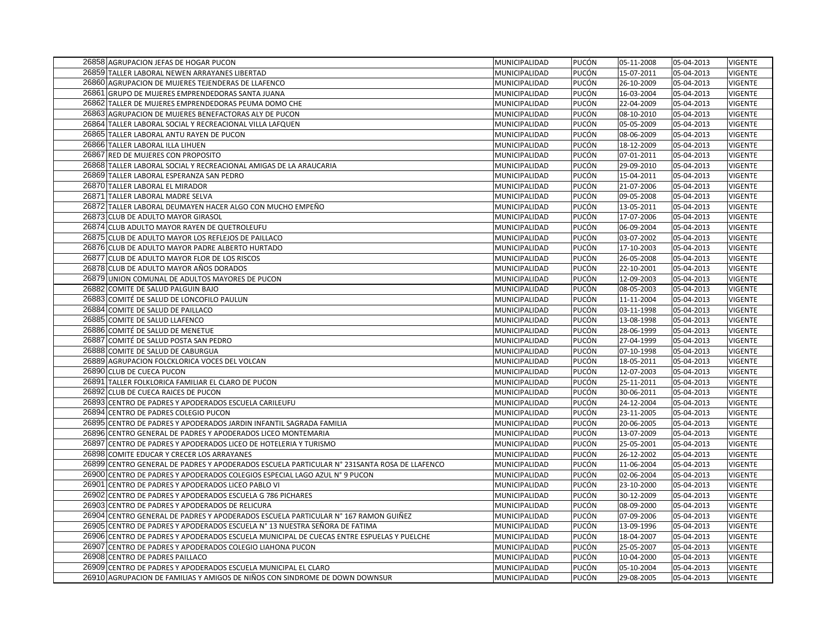| 26858 AGRUPACION JEFAS DE HOGAR PUCON                                                                                                         | MUNICIPALIDAD | PUCÓN          | 05-11-2008               | 05-04-2013               | <b>VIGENTE</b> |
|-----------------------------------------------------------------------------------------------------------------------------------------------|---------------|----------------|--------------------------|--------------------------|----------------|
| 26859 TALLER LABORAL NEWEN ARRAYANES LIBERTAD                                                                                                 | MUNICIPALIDAD | PUCÓN          | 15-07-2011               | 05-04-2013               | <b>VIGENTE</b> |
| 26860 AGRUPACION DE MUJERES TEJENDERAS DE LLAFENCO                                                                                            | MUNICIPALIDAD | PUCÓN          | 26-10-2009               | 05-04-2013               | <b>VIGENTE</b> |
| 26861 GRUPO DE MUJERES EMPRENDEDORAS SANTA JUANA                                                                                              | MUNICIPALIDAD | PUCÓN          | 16-03-2004               | 05-04-2013               | <b>VIGENTE</b> |
| 26862 TALLER DE MUJERES EMPRENDEDORAS PEUMA DOMO CHE                                                                                          | MUNICIPALIDAD | PUCÓN          | 22-04-2009               | 05-04-2013               | <b>VIGENTE</b> |
| 26863 AGRUPACION DE MUJERES BENEFACTORAS ALY DE PUCON                                                                                         | MUNICIPALIDAD | PUCÓN          | 08-10-2010               | 05-04-2013               | <b>VIGENTE</b> |
| 26864 TALLER LABORAL SOCIAL Y RECREACIONAL VILLA LAFQUEN                                                                                      | MUNICIPALIDAD | PUCÓN          | 05-05-2009               | 05-04-2013               | <b>VIGENTE</b> |
| 26865 TALLER LABORAL ANTU RAYEN DE PUCON                                                                                                      | MUNICIPALIDAD | PUCÓN          | 08-06-2009               | 05-04-2013               | <b>VIGENTE</b> |
| 26866 TALLER LABORAL ILLA LIHUEN                                                                                                              | MUNICIPALIDAD | PUCÓN          | 18-12-2009               | 05-04-2013               | <b>VIGENTE</b> |
| 26867 RED DE MUJERES CON PROPOSITO                                                                                                            | MUNICIPALIDAD | PUCÓN          | 07-01-2011               | 05-04-2013               | <b>VIGENTE</b> |
| 26868 TALLER LABORAL SOCIAL Y RECREACIONAL AMIGAS DE LA ARAUCARIA                                                                             | MUNICIPALIDAD | PUCÓN          | 29-09-2010               | 05-04-2013               | <b>VIGENTE</b> |
| 26869 TALLER LABORAL ESPERANZA SAN PEDRO                                                                                                      | MUNICIPALIDAD | PUCÓN          | 15-04-2011               | 05-04-2013               | <b>VIGENTE</b> |
| 26870 TALLER LABORAL EL MIRADOR                                                                                                               | MUNICIPALIDAD | PUCÓN          | 21-07-2006               | 05-04-2013               | <b>VIGENTE</b> |
| 26871 TALLER LABORAL MADRE SELVA                                                                                                              | MUNICIPALIDAD | PUCÓN          | 09-05-2008               | 05-04-2013               | VIGENTE        |
| 26872 TALLER LABORAL DEUMAYEN HACER ALGO CON MUCHO EMPEÑO                                                                                     | MUNICIPALIDAD | PUCÓN          | 13-05-2011               | 05-04-2013               | <b>VIGENTE</b> |
| 26873 CLUB DE ADULTO MAYOR GIRASOL                                                                                                            | MUNICIPALIDAD | PUCÓN          | 17-07-2006               | 05-04-2013               | VIGENTE        |
| 26874 CLUB ADULTO MAYOR RAYEN DE QUETROLEUFU                                                                                                  | MUNICIPALIDAD | PUCÓN          | 06-09-2004               | 05-04-2013               | <b>VIGENTE</b> |
| 26875 CLUB DE ADULTO MAYOR LOS REFLEJOS DE PAILLACO                                                                                           | MUNICIPALIDAD | PUCÓN          | 03-07-2002               | 05-04-2013               | <b>VIGENTE</b> |
| 26876 CLUB DE ADULTO MAYOR PADRE ALBERTO HURTADO                                                                                              | MUNICIPALIDAD | PUCÓN          | 17-10-2003               | 05-04-2013               | <b>VIGENTE</b> |
| 26877 CLUB DE ADULTO MAYOR FLOR DE LOS RISCOS                                                                                                 | MUNICIPALIDAD | PUCÓN          | 26-05-2008               | 05-04-2013               | <b>VIGENTE</b> |
| 26878 CLUB DE ADULTO MAYOR AÑOS DORADOS                                                                                                       | MUNICIPALIDAD | PUCÓN          | 22-10-2001               | 05-04-2013               | VIGENTE        |
| 26879 UNION COMUNAL DE ADULTOS MAYORES DE PUCON                                                                                               | MUNICIPALIDAD | PUCÓN          | 12-09-2003               | 05-04-2013               | <b>VIGENTE</b> |
| 26882 COMITE DE SALUD PALGUIN BAJO                                                                                                            | MUNICIPALIDAD | PUCÓN          | 08-05-2003               | 05-04-2013               | <b>VIGENTE</b> |
| 26883 COMITÉ DE SALUD DE LONCOFILO PAULUN                                                                                                     | MUNICIPALIDAD | PUCÓN          | 11-11-2004               | 05-04-2013               | <b>VIGENTE</b> |
| 26884 COMITE DE SALUD DE PAILLACO                                                                                                             | MUNICIPALIDAD | PUCÓN          | 03-11-1998               | 05-04-2013               | <b>VIGENTE</b> |
| 26885 COMITE DE SALUD LLAFENCO                                                                                                                | MUNICIPALIDAD | PUCÓN          | 13-08-1998               | 05-04-2013               | <b>VIGENTE</b> |
| 26886 COMITÉ DE SALUD DE MENETUE                                                                                                              | MUNICIPALIDAD | PUCÓN          | 28-06-1999               | 05-04-2013               | <b>VIGENTE</b> |
| 26887 COMITÉ DE SALUD POSTA SAN PEDRO                                                                                                         | MUNICIPALIDAD | PUCÓN          | 27-04-1999               | 05-04-2013               | <b>VIGENTE</b> |
| 26888 COMITE DE SALUD DE CABURGUA                                                                                                             | MUNICIPALIDAD | PUCÓN          | 07-10-1998               | 05-04-2013               | VIGENTE        |
| 26889 AGRUPACION FOLCKLORICA VOCES DEL VOLCAN                                                                                                 | MUNICIPALIDAD | PUCÓN          | 18-05-2011               | 05-04-2013               | <b>VIGENTE</b> |
| 26890 CLUB DE CUECA PUCON                                                                                                                     | MUNICIPALIDAD | PUCÓN          | 12-07-2003               | 05-04-2013               | <b>VIGENTE</b> |
| 26891 TALLER FOLKLORICA FAMILIAR EL CLARO DE PUCON                                                                                            | MUNICIPALIDAD | PUCÓN          | 25-11-2011               | 05-04-2013               | <b>VIGENTE</b> |
| 26892 CLUB DE CUECA RAICES DE PUCON                                                                                                           | MUNICIPALIDAD | PUCÓN          | 30-06-2011               | 05-04-2013               | <b>VIGENTE</b> |
| 26893 CENTRO DE PADRES Y APODERADOS ESCUELA CARILEUFU                                                                                         | MUNICIPALIDAD | PUCÓN          | 24-12-2004               | 05-04-2013               | <b>VIGENTE</b> |
| 26894 CENTRO DE PADRES COLEGIO PUCON                                                                                                          | MUNICIPALIDAD | PUCÓN          | 23-11-2005               | 05-04-2013               | <b>VIGENTE</b> |
| 26895 CENTRO DE PADRES Y APODERADOS JARDIN INFANTIL SAGRADA FAMILIA                                                                           | MUNICIPALIDAD | PUCÓN          | 20-06-2005               | 05-04-2013               | VIGENTE        |
| 26896 CENTRO GENERAL DE PADRES Y APODERADOS LICEO MONTEMARIA                                                                                  | MUNICIPALIDAD | PUCÓN          | 13-07-2009               | 05-04-2013               | <b>VIGENTE</b> |
| 26897 CENTRO DE PADRES Y APODERADOS LICEO DE HOTELERIA Y TURISMO                                                                              | MUNICIPALIDAD | PUCÓN          | 25-05-2001               | 05-04-2013               | <b>VIGENTE</b> |
| 26898 COMITE EDUCAR Y CRECER LOS ARRAYANES                                                                                                    | MUNICIPALIDAD | PUCÓN          | 26-12-2002               | 05-04-2013               | <b>VIGENTE</b> |
| 26899 CENTRO GENERAL DE PADRES Y APODERADOS ESCUELA PARTICULAR N° 231SANTA ROSA DE LLAFENCO                                                   | MUNICIPALIDAD | PUCÓN          | 11-06-2004               | 05-04-2013               | <b>VIGENTE</b> |
| 26900 CENTRO DE PADRES Y APODERADOS COLEGIOS ESPECIAL LAGO AZUL Nº 9 PUCON                                                                    | MUNICIPALIDAD | PUCÓN          | 02-06-2004               | 05-04-2013               | <b>VIGENTE</b> |
| 26901 CENTRO DE PADRES Y APODERADOS LICEO PABLO VI                                                                                            | MUNICIPALIDAD | PUCÓN          | 23-10-2000               | 05-04-2013               | <b>VIGENTE</b> |
| 26902 CENTRO DE PADRES Y APODERADOS ESCUELA G 786 PICHARES                                                                                    | MUNICIPALIDAD | PUCÓN          | 30-12-2009               | 05-04-2013               | <b>VIGENTE</b> |
| 26903 CENTRO DE PADRES Y APODERADOS DE RELICURA                                                                                               | MUNICIPALIDAD | PUCÓN          | 08-09-2000               | 05-04-2013               | <b>VIGENTE</b> |
| 26904 CENTRO GENERAL DE PADRES Y APODERADOS ESCUELA PARTICULAR Nº 167 RAMON GUIÑEZ                                                            | MUNICIPALIDAD | PUCÓN          | 07-09-2006               | 05-04-2013               | <b>VIGENTE</b> |
| 26905 CENTRO DE PADRES Y APODERADOS ESCUELA Nº 13 NUESTRA SEÑORA DE FATIMA                                                                    | MUNICIPALIDAD | PUCÓN          | 13-09-1996               | 05-04-2013               | <b>VIGENTE</b> |
| 26906 CENTRO DE PADRES Y APODERADOS ESCUELA MUNICIPAL DE CUECAS ENTRE ESPUELAS Y PUELCHE                                                      | MUNICIPALIDAD | PUCÓN          | 18-04-2007               | 05-04-2013               | <b>VIGENTE</b> |
| 26907 CENTRO DE PADRES Y APODERADOS COLEGIO LIAHONA PUCON                                                                                     | MUNICIPALIDAD | PUCÓN          | 25-05-2007               | 05-04-2013               | <b>VIGENTE</b> |
| 26908 CENTRO DE PADRES PAILLACO                                                                                                               | MUNICIPALIDAD | PUCÓN          | 10-04-2000               | 05-04-2013               | <b>VIGENTE</b> |
| 26909 CENTRO DE PADRES Y APODERADOS ESCUELA MUNICIPAL EL CLARO<br>26910 AGRUPACION DE FAMILIAS Y AMIGOS DE NIÑOS CON SINDROME DE DOWN DOWNSUR | MUNICIPALIDAD | PUCÓN<br>PUCÓN | 05-10-2004<br>29-08-2005 | 05-04-2013<br>05-04-2013 | <b>VIGENTE</b> |
|                                                                                                                                               | MUNICIPALIDAD |                |                          |                          | <b>VIGENTE</b> |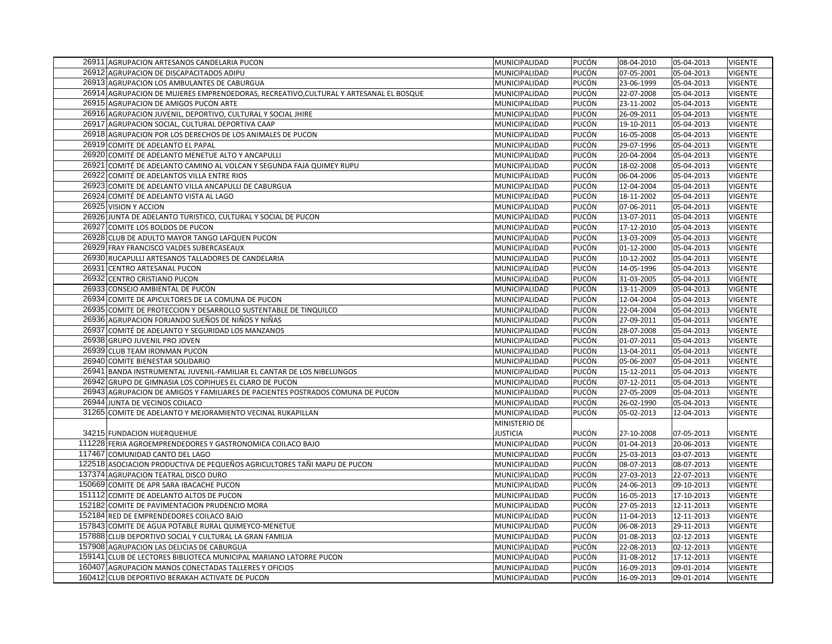| 26911 AGRUPACION ARTESANOS CANDELARIA PUCON                                           | MUNICIPALIDAD   | PUCÓN | 08-04-2010 | 05-04-2013 | <b>VIGENTE</b> |
|---------------------------------------------------------------------------------------|-----------------|-------|------------|------------|----------------|
| 26912 AGRUPACION DE DISCAPACITADOS ADIPU                                              | MUNICIPALIDAD   | PUCÓN | 07-05-2001 | 05-04-2013 | VIGENTE        |
| 26913 AGRUPACION LOS AMBULANTES DE CABURGUA                                           | MUNICIPALIDAD   | PUCÓN | 23-06-1999 | 05-04-2013 | <b>VIGENTE</b> |
| 26914 AGRUPACION DE MUJERES EMPRENDEDORAS, RECREATIVO, CULTURAL Y ARTESANAL EL BOSQUE | MUNICIPALIDAD   | PUCÓN | 22-07-2008 | 05-04-2013 | <b>VIGENTE</b> |
| 26915 AGRUPACION DE AMIGOS PUCON ARTE                                                 | MUNICIPALIDAD   | PUCÓN | 23-11-2002 | 05-04-2013 | <b>VIGENTE</b> |
| 26916 AGRUPACION JUVENIL, DEPORTIVO, CULTURAL Y SOCIAL JHIRE                          | MUNICIPALIDAD   | PUCÓN | 26-09-2011 | 05-04-2013 | <b>VIGENTE</b> |
| 26917 AGRUPACION SOCIAL, CULTURAL DEPORTIVA CAAP                                      | MUNICIPALIDAD   | PUCÓN | 19-10-2011 | 05-04-2013 | <b>VIGENTE</b> |
| 26918 AGRUPACION POR LOS DERECHOS DE LOS ANIMALES DE PUCON                            | MUNICIPALIDAD   | PUCÓN | 16-05-2008 | 05-04-2013 | <b>VIGENTE</b> |
| 26919 COMITE DE ADELANTO EL PAPAL                                                     | MUNICIPALIDAD   | PUCÓN | 29-07-1996 | 05-04-2013 | <b>VIGENTE</b> |
| 26920 COMITÉ DE ADELANTO MENETUE ALTO Y ANCAPULLI                                     | MUNICIPALIDAD   | PUCÓN | 20-04-2004 | 05-04-2013 | <b>VIGENTE</b> |
| 26921 COMITÉ DE ADELANTO CAMINO AL VOLCAN Y SEGUNDA FAJA QUIMEY RUPU                  | MUNICIPALIDAD   | PUCÓN | 18-02-2008 | 05-04-2013 | <b>VIGENTE</b> |
| 26922 COMITÉ DE ADELANTOS VILLA ENTRE RIOS                                            | MUNICIPALIDAD   | PUCÓN | 06-04-2006 | 05-04-2013 | <b>VIGENTE</b> |
| 26923 COMITE DE ADELANTO VILLA ANCAPULLI DE CABURGUA                                  | MUNICIPALIDAD   | PUCÓN | 12-04-2004 | 05-04-2013 | <b>VIGENTE</b> |
| 26924 COMITÉ DE ADELANTO VISTA AL LAGO                                                | MUNICIPALIDAD   | PUCÓN | 18-11-2002 | 05-04-2013 | <b>VIGENTE</b> |
| 26925 VISION Y ACCION                                                                 | MUNICIPALIDAD   | PUCÓN | 07-06-2011 | 05-04-2013 | <b>VIGENTE</b> |
| 26926 JUNTA DE ADELANTO TURISTICO, CULTURAL Y SOCIAL DE PUCON                         | MUNICIPALIDAD   | PUCÓN | 13-07-2011 | 05-04-2013 | VIGENTE        |
| 26927 COMITE LOS BOLDOS DE PUCON                                                      | MUNICIPALIDAD   | PUCÓN | 17-12-2010 | 05-04-2013 | <b>VIGENTE</b> |
| 26928 CLUB DE ADULTO MAYOR TANGO LAFQUEN PUCON                                        | MUNICIPALIDAD   | PUCÓN | 13-03-2009 | 05-04-2013 | <b>VIGENTE</b> |
| 26929 FRAY FRANCISCO VALDES SUBERCASEAUX                                              | MUNICIPALIDAD   | PUCÓN | 01-12-2000 | 05-04-2013 | <b>VIGENTE</b> |
| 26930 RUCAPULLI ARTESANOS TALLADORES DE CANDELARIA                                    | MUNICIPALIDAD   | PUCÓN | 10-12-2002 | 05-04-2013 | <b>VIGENTE</b> |
| 26931 CENTRO ARTESANAL PUCON                                                          | MUNICIPALIDAD   | PUCÓN | 14-05-1996 | 05-04-2013 | <b>VIGENTE</b> |
| 26932 CENTRO CRISTIANO PUCON                                                          | MUNICIPALIDAD   | PUCÓN | 31-03-2005 | 05-04-2013 | <b>VIGENTE</b> |
| 26933 CONSEJO AMBIENTAL DE PUCON                                                      | MUNICIPALIDAD   | PUCÓN | 13-11-2009 | 05-04-2013 | <b>VIGENTE</b> |
| 26934 COMITE DE APICULTORES DE LA COMUNA DE PUCON                                     | MUNICIPALIDAD   | PUCÓN | 12-04-2004 | 05-04-2013 | <b>VIGENTE</b> |
| 26935 COMITE DE PROTECCION Y DESARROLLO SUSTENTABLE DE TINQUILCO                      | MUNICIPALIDAD   | PUCÓN | 22-04-2004 | 05-04-2013 | <b>VIGENTE</b> |
| 26936 AGRUPACION FORJANDO SUEÑOS DE NIÑOS Y NIÑAS                                     | MUNICIPALIDAD   | PUCÓN | 27-09-2011 | 05-04-2013 | <b>VIGENTE</b> |
| 26937 COMITÉ DE ADELANTO Y SEGURIDAD LOS MANZANOS                                     | MUNICIPALIDAD   | PUCÓN | 28-07-2008 | 05-04-2013 | <b>VIGENTE</b> |
| 26938 GRUPO JUVENIL PRO JOVEN                                                         | MUNICIPALIDAD   | PUCÓN | 01-07-2011 | 05-04-2013 | VIGENTE        |
| 26939 CLUB TEAM IRONMAN PUCON                                                         | MUNICIPALIDAD   | PUCÓN | 13-04-2011 | 05-04-2013 | VIGENTE        |
| 26940 COMITE BIENESTAR SOLIDARIO                                                      | MUNICIPALIDAD   | PUCÓN | 05-06-2007 | 05-04-2013 | <b>VIGENTE</b> |
| 26941 BANDA INSTRUMENTAL JUVENIL-FAMILIAR EL CANTAR DE LOS NIBELUNGOS                 | MUNICIPALIDAD   | PUCÓN | 15-12-2011 | 05-04-2013 | <b>VIGENTE</b> |
| 26942 GRUPO DE GIMNASIA LOS COPIHUES EL CLARO DE PUCON                                | MUNICIPALIDAD   | PUCÓN | 07-12-2011 | 05-04-2013 | <b>VIGENTE</b> |
| 26943 AGRUPACION DE AMIGOS Y FAMILIARES DE PACIENTES POSTRADOS COMUNA DE PUCON        | MUNICIPALIDAD   | PUCÓN | 27-05-2009 | 05-04-2013 | <b>VIGENTE</b> |
| 26944 JUNTA DE VECINOS COILACO                                                        | MUNICIPALIDAD   | PUCÓN | 26-02-1990 | 05-04-2013 | <b>VIGENTE</b> |
| 31265 COMITE DE ADELANTO Y MEJORAMIENTO VECINAL RUKAPILLAN                            | MUNICIPALIDAD   | PUCÓN | 05-02-2013 | 12-04-2013 | <b>VIGENTE</b> |
|                                                                                       | MINISTERIO DE   |       |            |            |                |
| 34215 FUNDACION HUERQUEHUE                                                            | <b>JUSTICIA</b> | PUCÓN | 27-10-2008 | 07-05-2013 | <b>VIGENTE</b> |
| 111228 FERIA AGROEMPRENDEDORES Y GASTRONOMICA COILACO BAJO                            | MUNICIPALIDAD   | PUCÓN | 01-04-2013 | 20-06-2013 | VIGENTE        |
| 117467 COMUNIDAD CANTO DEL LAGO                                                       | MUNICIPALIDAD   | PUCÓN | 25-03-2013 | 03-07-2013 | <b>VIGENTE</b> |
| 122518 ASOCIACION PRODUCTIVA DE PEQUEÑOS AGRICULTORES TAÑI MAPU DE PUCON              | MUNICIPALIDAD   | PUCÓN | 08-07-2013 | 08-07-2013 | <b>VIGENTE</b> |
| 137374 AGRUPACION TEATRAL DISCO DURO                                                  | MUNICIPALIDAD   | PUCÓN | 27-03-2013 | 22-07-2013 | <b>VIGENTE</b> |
| 150669 COMITE DE APR SARA IBACACHE PUCON                                              | MUNICIPALIDAD   | PUCÓN | 24-06-2013 | 09-10-2013 | <b>VIGENTE</b> |
| 151112 COMITE DE ADELANTO ALTOS DE PUCON                                              | MUNICIPALIDAD   | PUCÓN | 16-05-2013 | 17-10-2013 | <b>VIGENTE</b> |
| 152182 COMITE DE PAVIMENTACION PRUDENCIO MORA                                         | MUNICIPALIDAD   | PUCÓN | 27-05-2013 | 12-11-2013 | <b>VIGENTE</b> |
| 152184 RED DE EMPRENDEDORES COILACO BAJO                                              | MUNICIPALIDAD   | PUCÓN | 11-04-2013 | 12-11-2013 | <b>VIGENTE</b> |
| 157843 COMITE DE AGUA POTABLE RURAL QUIMEYCO-MENETUE                                  | MUNICIPALIDAD   | PUCÓN | 06-08-2013 | 29-11-2013 | <b>VIGENTE</b> |
| 157888 CLUB DEPORTIVO SOCIAL Y CULTURAL LA GRAN FAMILIA                               | MUNICIPALIDAD   | PUCÓN | 01-08-2013 | 02-12-2013 | <b>VIGENTE</b> |
| 157908 AGRUPACION LAS DELICIAS DE CABURGUA                                            | MUNICIPALIDAD   | PUCÓN | 22-08-2013 | 02-12-2013 | <b>VIGENTE</b> |
| 159141 CLUB DE LECTORES BIBLIOTECA MUNICIPAL MARIANO LATORRE PUCON                    | MUNICIPALIDAD   | PUCÓN | 31-08-2012 | 17-12-2013 | <b>VIGENTE</b> |
| 160407 AGRUPACION MANOS CONECTADAS TALLERES Y OFICIOS                                 | MUNICIPALIDAD   | PUCÓN | 16-09-2013 | 09-01-2014 | <b>VIGENTE</b> |
| 160412 CLUB DEPORTIVO BERAKAH ACTIVATE DE PUCON                                       | MUNICIPALIDAD   | PUCÓN | 16-09-2013 | 09-01-2014 | <b>VIGENTE</b> |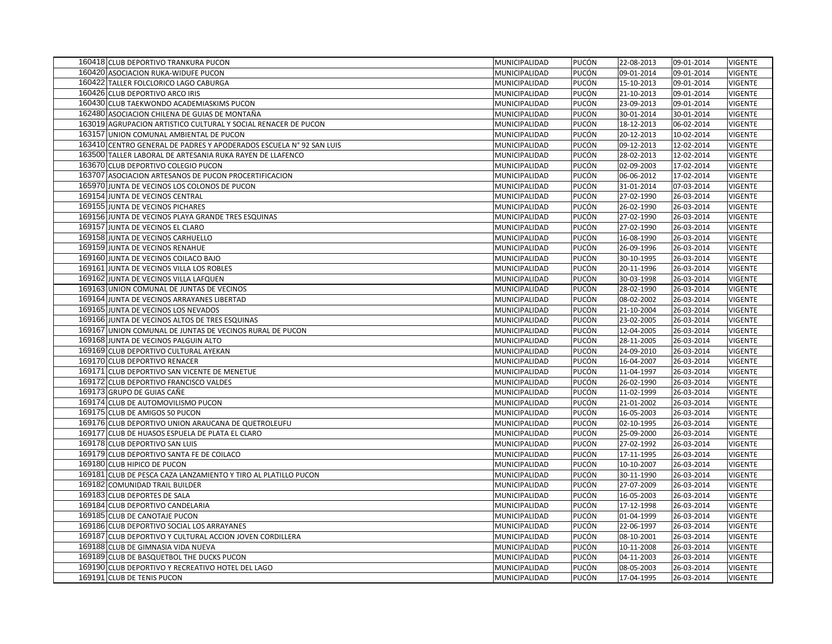| 160418 CLUB DEPORTIVO TRANKURA PUCON                                | MUNICIPALIDAD | PUCÓN | 22-08-2013 | 09-01-2014 | <b>VIGENTE</b> |
|---------------------------------------------------------------------|---------------|-------|------------|------------|----------------|
| 160420 ASOCIACION RUKA-WIDUFE PUCON                                 | MUNICIPALIDAD | PUCÓN | 09-01-2014 | 09-01-2014 | <b>VIGENTE</b> |
| 160422 TALLER FOLCLORICO LAGO CABURGA                               | MUNICIPALIDAD | PUCÓN | 15-10-2013 | 09-01-2014 | <b>VIGENTE</b> |
| 160426 CLUB DEPORTIVO ARCO IRIS                                     | MUNICIPALIDAD | PUCÓN | 21-10-2013 | 09-01-2014 | <b>VIGENTE</b> |
| 160430 CLUB TAEKWONDO ACADEMIASKIMS PUCON                           | MUNICIPALIDAD | PUCÓN | 23-09-2013 | 09-01-2014 | <b>VIGENTE</b> |
| 162480 ASOCIACION CHILENA DE GUIAS DE MONTAÑA                       | MUNICIPALIDAD | PUCÓN | 30-01-2014 | 30-01-2014 | <b>VIGENTE</b> |
| 163019 AGRUPACION ARTISTICO CULTURAL Y SOCIAL RENACER DE PUCON      | MUNICIPALIDAD | PUCÓN | 18-12-2013 | 06-02-2014 | <b>VIGENTE</b> |
| 163157 UNION COMUNAL AMBIENTAL DE PUCON                             | MUNICIPALIDAD | PUCÓN | 20-12-2013 | 10-02-2014 | <b>VIGENTE</b> |
| 163410 CENTRO GENERAL DE PADRES Y APODERADOS ESCUELA Nº 92 SAN LUIS | MUNICIPALIDAD | PUCÓN | 09-12-2013 | 12-02-2014 | <b>VIGENTE</b> |
| 163500 TALLER LABORAL DE ARTESANIA RUKA RAYEN DE LLAFENCO           | MUNICIPALIDAD | PUCÓN | 28-02-2013 | 12-02-2014 | <b>VIGENTE</b> |
| 163670 CLUB DEPORTIVO COLEGIO PUCON                                 | MUNICIPALIDAD | PUCÓN | 02-09-2003 | 17-02-2014 | <b>VIGENTE</b> |
| 163707 ASOCIACION ARTESANOS DE PUCON PROCERTIFICACION               | MUNICIPALIDAD | PUCÓN | 06-06-2012 | 17-02-2014 | <b>VIGENTE</b> |
| 165970 JUNTA DE VECINOS LOS COLONOS DE PUCON                        | MUNICIPALIDAD | PUCÓN | 31-01-2014 | 07-03-2014 | <b>VIGENTE</b> |
| 169154 JUNTA DE VECINOS CENTRAL                                     | MUNICIPALIDAD | PUCÓN | 27-02-1990 | 26-03-2014 | <b>VIGENTE</b> |
| 169155 JUNTA DE VECINOS PICHARES                                    | MUNICIPALIDAD | PUCÓN | 26-02-1990 | 26-03-2014 | <b>VIGENTE</b> |
| 169156 JUNTA DE VECINOS PLAYA GRANDE TRES ESQUINAS                  | MUNICIPALIDAD | PUCÓN | 27-02-1990 | 26-03-2014 | <b>VIGENTE</b> |
| 169157 JUNTA DE VECINOS EL CLARO                                    | MUNICIPALIDAD | PUCÓN | 27-02-1990 | 26-03-2014 | <b>VIGENTE</b> |
| 169158 JUNTA DE VECINOS CARHUELLO                                   | MUNICIPALIDAD | PUCÓN | 16-08-1990 | 26-03-2014 | <b>VIGENTE</b> |
| 169159 JUNTA DE VECINOS RENAHUE                                     | MUNICIPALIDAD | PUCÓN | 26-09-1996 | 26-03-2014 | <b>VIGENTE</b> |
| 169160 JUNTA DE VECINOS COILACO BAJO                                | MUNICIPALIDAD | PUCÓN | 30-10-1995 | 26-03-2014 | <b>VIGENTE</b> |
| 169161 JUNTA DE VECINOS VILLA LOS ROBLES                            | MUNICIPALIDAD | PUCÓN | 20-11-1996 | 26-03-2014 | <b>VIGENTE</b> |
| 169162 JUNTA DE VECINOS VILLA LAFQUEN                               | MUNICIPALIDAD | PUCÓN | 30-03-1998 | 26-03-2014 | <b>VIGENTE</b> |
| 169163 UNION COMUNAL DE JUNTAS DE VECINOS                           | MUNICIPALIDAD | PUCÓN | 28-02-1990 | 26-03-2014 | <b>VIGENTE</b> |
| 169164 JUNTA DE VECINOS ARRAYANES LIBERTAD                          | MUNICIPALIDAD | PUCÓN | 08-02-2002 | 26-03-2014 | <b>VIGENTE</b> |
| 169165 JUNTA DE VECINOS LOS NEVADOS                                 | MUNICIPALIDAD | PUCÓN | 21-10-2004 | 26-03-2014 | <b>VIGENTE</b> |
| 169166 JUNTA DE VECINOS ALTOS DE TRES ESQUINAS                      | MUNICIPALIDAD | PUCÓN | 23-02-2005 | 26-03-2014 | <b>VIGENTE</b> |
| 169167 UNION COMUNAL DE JUNTAS DE VECINOS RURAL DE PUCON            | MUNICIPALIDAD | PUCÓN | 12-04-2005 | 26-03-2014 | <b>VIGENTE</b> |
| 169168 JUNTA DE VECINOS PALGUIN ALTO                                | MUNICIPALIDAD | PUCÓN | 28-11-2005 | 26-03-2014 | <b>VIGENTE</b> |
| 169169 CLUB DEPORTIVO CULTURAL AYEKAN                               | MUNICIPALIDAD | PUCÓN | 24-09-2010 | 26-03-2014 | <b>VIGENTE</b> |
| 169170 CLUB DEPORTIVO RENACER                                       | MUNICIPALIDAD | PUCÓN | 16-04-2007 | 26-03-2014 | <b>VIGENTE</b> |
| 169171 CLUB DEPORTIVO SAN VICENTE DE MENETUE                        | MUNICIPALIDAD | PUCÓN | 11-04-1997 | 26-03-2014 | <b>VIGENTE</b> |
| 169172 CLUB DEPORTIVO FRANCISCO VALDES                              | MUNICIPALIDAD | PUCÓN | 26-02-1990 | 26-03-2014 | <b>VIGENTE</b> |
| 169173 GRUPO DE GUIAS CAÑE                                          | MUNICIPALIDAD | PUCÓN | 11-02-1999 | 26-03-2014 | <b>VIGENTE</b> |
| 169174 CLUB DE AUTOMOVILISMO PUCON                                  | MUNICIPALIDAD | PUCÓN | 21-01-2002 | 26-03-2014 | <b>VIGENTE</b> |
| 169175 CLUB DE AMIGOS 50 PUCON                                      | MUNICIPALIDAD | PUCÓN | 16-05-2003 | 26-03-2014 | <b>VIGENTE</b> |
| 169176 CLUB DEPORTIVO UNION ARAUCANA DE QUETROLEUFU                 | MUNICIPALIDAD | PUCÓN | 02-10-1995 | 26-03-2014 | <b>VIGENTE</b> |
| 169177 CLUB DE HUASOS ESPUELA DE PLATA EL CLARO                     | MUNICIPALIDAD | PUCÓN | 25-09-2000 | 26-03-2014 | <b>VIGENTE</b> |
| 169178 CLUB DEPORTIVO SAN LUIS                                      | MUNICIPALIDAD | PUCÓN | 27-02-1992 | 26-03-2014 | <b>VIGENTE</b> |
| 169179 CLUB DEPORTIVO SANTA FE DE COILACO                           | MUNICIPALIDAD | PUCÓN | 17-11-1995 | 26-03-2014 | VIGENTE        |
| 169180 CLUB HIPICO DE PUCON                                         | MUNICIPALIDAD | PUCÓN | 10-10-2007 | 26-03-2014 | <b>VIGENTE</b> |
| 169181 CLUB DE PESCA CAZA LANZAMIENTO Y TIRO AL PLATILLO PUCON      | MUNICIPALIDAD | PUCÓN | 30-11-1990 | 26-03-2014 | <b>VIGENTE</b> |
| 169182 COMUNIDAD TRAIL BUILDER                                      | MUNICIPALIDAD | PUCÓN | 27-07-2009 | 26-03-2014 | <b>VIGENTE</b> |
| 169183 CLUB DEPORTES DE SALA                                        | MUNICIPALIDAD | PUCÓN | 16-05-2003 | 26-03-2014 | <b>VIGENTE</b> |
| 169184 CLUB DEPORTIVO CANDELARIA                                    | MUNICIPALIDAD | PUCÓN | 17-12-1998 | 26-03-2014 | <b>VIGENTE</b> |
| 169185 CLUB DE CANOTAJE PUCON                                       | MUNICIPALIDAD | PUCÓN | 01-04-1999 | 26-03-2014 | <b>VIGENTE</b> |
| 169186 CLUB DEPORTIVO SOCIAL LOS ARRAYANES                          | MUNICIPALIDAD | PUCÓN | 22-06-1997 | 26-03-2014 | <b>VIGENTE</b> |
| 169187 CLUB DEPORTIVO Y CULTURAL ACCION JOVEN CORDILLERA            | MUNICIPALIDAD | PUCÓN | 08-10-2001 | 26-03-2014 | <b>VIGENTE</b> |
| 169188 CLUB DE GIMNASIA VIDA NUEVA                                  | MUNICIPALIDAD | PUCÓN | 10-11-2008 | 26-03-2014 | <b>VIGENTE</b> |
| 169189 CLUB DE BASQUETBOL THE DUCKS PUCON                           | MUNICIPALIDAD | PUCÓN | 04-11-2003 | 26-03-2014 | <b>VIGENTE</b> |
| 169190 CLUB DEPORTIVO Y RECREATIVO HOTEL DEL LAGO                   | MUNICIPALIDAD | PUCÓN | 08-05-2003 | 26-03-2014 | <b>VIGENTE</b> |
| 169191 CLUB DE TENIS PUCON                                          | MUNICIPALIDAD | PUCÓN | 17-04-1995 | 26-03-2014 | <b>VIGENTE</b> |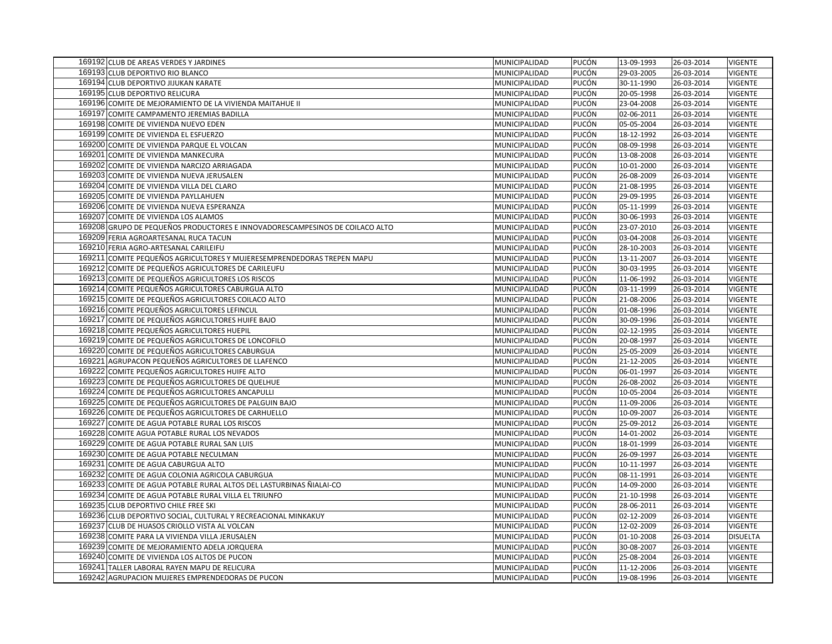| 169192 CLUB DE AREAS VERDES Y JARDINES                                       | MUNICIPALIDAD | PUCÓN | 13-09-1993 | 26-03-2014 | <b>VIGENTE</b>  |
|------------------------------------------------------------------------------|---------------|-------|------------|------------|-----------------|
| 169193 CLUB DEPORTIVO RIO BLANCO                                             | MUNICIPALIDAD | PUCÓN | 29-03-2005 | 26-03-2014 | VIGENTE         |
| 169194 CLUB DEPORTIVO JIJUKAN KARATE                                         | MUNICIPALIDAD | PUCÓN | 30-11-1990 | 26-03-2014 | <b>VIGENTE</b>  |
| 169195 CLUB DEPORTIVO RELICURA                                               | MUNICIPALIDAD | PUCÓN | 20-05-1998 | 26-03-2014 | <b>VIGENTE</b>  |
| 169196 COMITE DE MEJORAMIENTO DE LA VIVIENDA MAITAHUE II                     | MUNICIPALIDAD | PUCÓN | 23-04-2008 | 26-03-2014 | <b>VIGENTE</b>  |
| 169197 COMITE CAMPAMENTO JEREMIAS BADILLA                                    | MUNICIPALIDAD | PUCÓN | 02-06-2011 | 26-03-2014 | <b>VIGENTE</b>  |
| 169198 COMITE DE VIVIENDA NUEVO EDEN                                         | MUNICIPALIDAD | PUCÓN | 05-05-2004 | 26-03-2014 | <b>VIGENTE</b>  |
| 169199 COMITE DE VIVIENDA EL ESFUERZO                                        | MUNICIPALIDAD | PUCÓN | 18-12-1992 | 26-03-2014 | <b>VIGENTE</b>  |
| 169200 COMITE DE VIVIENDA PARQUE EL VOLCAN                                   | MUNICIPALIDAD | PUCÓN | 08-09-1998 | 26-03-2014 | <b>VIGENTE</b>  |
| 169201 COMITE DE VIVIENDA MANKECURA                                          | MUNICIPALIDAD | PUCÓN | 13-08-2008 | 26-03-2014 | <b>VIGENTE</b>  |
| 169202 COMITE DE VIVIENDA NARCIZO ARRIAGADA                                  | MUNICIPALIDAD | PUCÓN | 10-01-2000 | 26-03-2014 | <b>VIGENTE</b>  |
| 169203 COMITE DE VIVIENDA NUEVA JERUSALEN                                    | MUNICIPALIDAD | PUCÓN | 26-08-2009 | 26-03-2014 | <b>VIGENTE</b>  |
| 169204 COMITE DE VIVIENDA VILLA DEL CLARO                                    | MUNICIPALIDAD | PUCÓN | 21-08-1995 | 26-03-2014 | <b>VIGENTE</b>  |
| 169205 COMITE DE VIVIENDA PAYLLAHUEN                                         | MUNICIPALIDAD | PUCÓN | 29-09-1995 | 26-03-2014 | VIGENTE         |
| 169206 COMITE DE VIVIENDA NUEVA ESPERANZA                                    | MUNICIPALIDAD | PUCÓN | 05-11-1999 | 26-03-2014 | <b>VIGENTE</b>  |
| 169207 COMITE DE VIVIENDA LOS ALAMOS                                         | MUNICIPALIDAD | PUCÓN | 30-06-1993 | 26-03-2014 | VIGENTE         |
| 169208 GRUPO DE PEQUEÑOS PRODUCTORES E INNOVADORESCAMPESINOS DE COILACO ALTO | MUNICIPALIDAD | PUCÓN | 23-07-2010 | 26-03-2014 | <b>VIGENTE</b>  |
| 169209 FERIA AGROARTESANAL RUCA TACUN                                        | MUNICIPALIDAD | PUCÓN | 03-04-2008 | 26-03-2014 | <b>VIGENTE</b>  |
| 169210 FERIA AGRO-ARTESANAL CARILEIFU                                        | MUNICIPALIDAD | PUCÓN | 28-10-2003 | 26-03-2014 | <b>VIGENTE</b>  |
| 169211 COMITE PEQUEÑOS AGRICULTORES Y MUJERESEMPRENDEDORAS TREPEN MAPU       | MUNICIPALIDAD | PUCÓN | 13-11-2007 | 26-03-2014 | <b>VIGENTE</b>  |
| 169212 COMITE DE PEQUEÑOS AGRICULTORES DE CARILEUFU                          | MUNICIPALIDAD | PUCÓN | 30-03-1995 | 26-03-2014 | <b>VIGENTE</b>  |
| 169213 COMITE DE PEQUEÑOS AGRICULTORES LOS RISCOS                            | MUNICIPALIDAD | PUCÓN | 11-06-1992 | 26-03-2014 | <b>VIGENTE</b>  |
| 169214 COMITE PEQUEÑOS AGRICULTORES CABURGUA ALTO                            | MUNICIPALIDAD | PUCÓN | 03-11-1999 | 26-03-2014 | <b>VIGENTE</b>  |
| 169215 COMITE DE PEQUEÑOS AGRICULTORES COILACO ALTO                          | MUNICIPALIDAD | PUCÓN | 21-08-2006 | 26-03-2014 | <b>VIGENTE</b>  |
| 169216 COMITE PEQUEÑOS AGRICULTORES LEFINCUL                                 | MUNICIPALIDAD | PUCÓN | 01-08-1996 | 26-03-2014 | <b>VIGENTE</b>  |
| 169217 COMITE DE PEQUEÑOS AGRICULTORES HUIFE BAJO                            | MUNICIPALIDAD | PUCÓN | 30-09-1996 | 26-03-2014 | <b>VIGENTE</b>  |
| 169218 COMITE PEQUEÑOS AGRICULTORES HUEPIL                                   | MUNICIPALIDAD | PUCÓN | 02-12-1995 | 26-03-2014 | <b>VIGENTE</b>  |
| 169219 COMITE DE PEQUEÑOS AGRICULTORES DE LONCOFILO                          | MUNICIPALIDAD | PUCÓN | 20-08-1997 | 26-03-2014 | <b>VIGENTE</b>  |
| 169220 COMITE DE PEQUEÑOS AGRICULTORES CABURGUA                              | MUNICIPALIDAD | PUCÓN | 25-05-2009 | 26-03-2014 | VIGENTE         |
| 169221 AGRUPACON PEQUEÑOS AGRICULTORES DE LLAFENCO                           | MUNICIPALIDAD | PUCÓN | 21-12-2005 | 26-03-2014 | <b>VIGENTE</b>  |
| 169222 COMITE PEQUEÑOS AGRICULTORES HUIFE ALTO                               | MUNICIPALIDAD | PUCÓN | 06-01-1997 | 26-03-2014 | <b>VIGENTE</b>  |
| 169223 COMITE DE PEQUEÑOS AGRICULTORES DE QUELHUE                            | MUNICIPALIDAD | PUCÓN | 26-08-2002 | 26-03-2014 | <b>VIGENTE</b>  |
| 169224 COMITE DE PEQUEÑOS AGRICULTORES ANCAPULLI                             | MUNICIPALIDAD | PUCÓN | 10-05-2004 | 26-03-2014 | <b>VIGENTE</b>  |
| 169225 COMITE DE PEQUEÑOS AGRICULTORES DE PALGUIN BAJO                       | MUNICIPALIDAD | PUCÓN | 11-09-2006 | 26-03-2014 | <b>VIGENTE</b>  |
| 169226 COMITE DE PEQUEÑOS AGRICULTORES DE CARHUELLO                          | MUNICIPALIDAD | PUCÓN | 10-09-2007 | 26-03-2014 | <b>VIGENTE</b>  |
| 169227 COMITE DE AGUA POTABLE RURAL LOS RISCOS                               | MUNICIPALIDAD | PUCÓN | 25-09-2012 | 26-03-2014 | <b>VIGENTE</b>  |
| 169228 COMITE AGUA POTABLE RURAL LOS NEVADOS                                 | MUNICIPALIDAD | PUCÓN | 14-01-2002 | 26-03-2014 | <b>VIGENTE</b>  |
| 169229 COMITE DE AGUA POTABLE RURAL SAN LUIS                                 | MUNICIPALIDAD | PUCÓN | 18-01-1999 | 26-03-2014 | <b>VIGENTE</b>  |
| 169230 COMITE DE AGUA POTABLE NECULMAN                                       | MUNICIPALIDAD | PUCÓN | 26-09-1997 | 26-03-2014 | <b>VIGENTE</b>  |
| 169231 COMITE DE AGUA CABURGUA ALTO                                          | MUNICIPALIDAD | PUCÓN | 10-11-1997 | 26-03-2014 | <b>VIGENTE</b>  |
| 169232 COMITE DE AGUA COLONIA AGRICOLA CABURGUA                              | MUNICIPALIDAD | PUCÓN | 08-11-1991 | 26-03-2014 | <b>VIGENTE</b>  |
| 169233 COMITE DE AGUA POTABLE RURAL ALTOS DEL LASTURBINAS ÑIALAI-CO          | MUNICIPALIDAD | PUCÓN | 14-09-2000 | 26-03-2014 | <b>VIGENTE</b>  |
| 169234 COMITE DE AGUA POTABLE RURAL VILLA EL TRIUNFO                         | MUNICIPALIDAD | PUCÓN | 21-10-1998 | 26-03-2014 | <b>VIGENTE</b>  |
| 169235 CLUB DEPORTIVO CHILE FREE SKI                                         | MUNICIPALIDAD | PUCÓN | 28-06-2011 | 26-03-2014 | <b>VIGENTE</b>  |
| 169236 CLUB DEPORTIVO SOCIAL, CULTURAL Y RECREACIONAL MINKAKUY               | MUNICIPALIDAD | PUCÓN | 02-12-2009 | 26-03-2014 | <b>VIGENTE</b>  |
| 169237 CLUB DE HUASOS CRIOLLO VISTA AL VOLCAN                                | MUNICIPALIDAD | PUCÓN | 12-02-2009 | 26-03-2014 | <b>VIGENTE</b>  |
| 169238 COMITE PARA LA VIVIENDA VILLA JERUSALEN                               | MUNICIPALIDAD | PUCÓN | 01-10-2008 | 26-03-2014 | <b>DISUELTA</b> |
| 169239 COMITE DE MEJORAMIENTO ADELA JORQUERA                                 | MUNICIPALIDAD | PUCÓN | 30-08-2007 | 26-03-2014 | <b>VIGENTE</b>  |
| 169240 COMITE DE VIVIENDA LOS ALTOS DE PUCON                                 | MUNICIPALIDAD | PUCÓN | 25-08-2004 | 26-03-2014 | <b>VIGENTE</b>  |
| 169241 TALLER LABORAL RAYEN MAPU DE RELICURA                                 | MUNICIPALIDAD | PUCÓN | 11-12-2006 | 26-03-2014 | <b>VIGENTE</b>  |
| 169242 AGRUPACION MUJERES EMPRENDEDORAS DE PUCON                             | MUNICIPALIDAD | PUCÓN | 19-08-1996 | 26-03-2014 | <b>VIGENTE</b>  |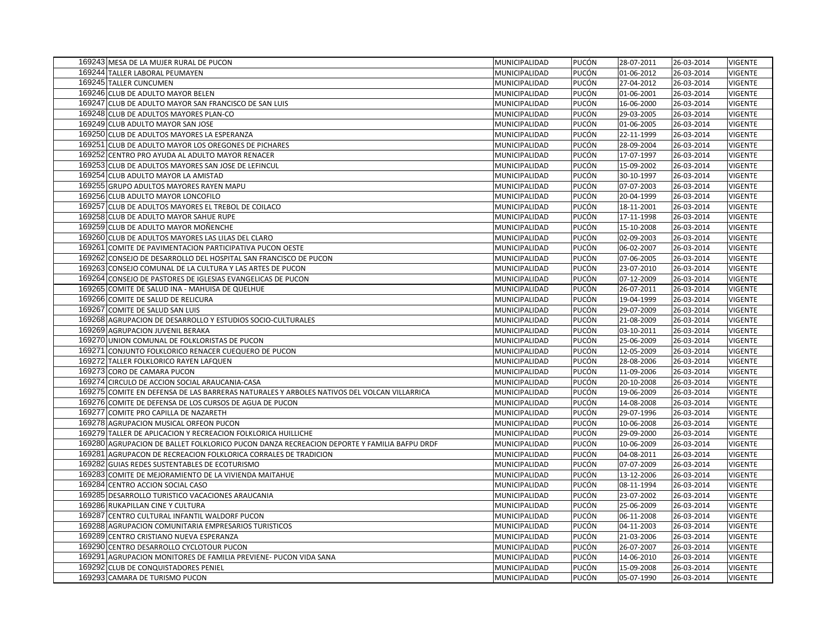| 169243 MESA DE LA MUJER RURAL DE PUCON                                                     | MUNICIPALIDAD | PUCÓN | 28-07-2011 | 26-03-2014 | <b>VIGENTE</b> |
|--------------------------------------------------------------------------------------------|---------------|-------|------------|------------|----------------|
| 169244 TALLER LABORAL PEUMAYEN                                                             | MUNICIPALIDAD | PUCÓN | 01-06-2012 | 26-03-2014 | <b>VIGENTE</b> |
| 169245 TALLER CUNCUMEN                                                                     | MUNICIPALIDAD | PUCÓN | 27-04-2012 | 26-03-2014 | <b>VIGENTE</b> |
| 169246 CLUB DE ADULTO MAYOR BELEN                                                          | MUNICIPALIDAD | PUCÓN | 01-06-2001 | 26-03-2014 | <b>VIGENTE</b> |
| 169247 CLUB DE ADULTO MAYOR SAN FRANCISCO DE SAN LUIS                                      | MUNICIPALIDAD | PUCÓN | 16-06-2000 | 26-03-2014 | <b>VIGENTE</b> |
| 169248 CLUB DE ADULTOS MAYORES PLAN-CO                                                     | MUNICIPALIDAD | PUCÓN | 29-03-2005 | 26-03-2014 | <b>VIGENTE</b> |
| 169249 CLUB ADULTO MAYOR SAN JOSE                                                          | MUNICIPALIDAD | PUCÓN | 01-06-2005 | 26-03-2014 | <b>VIGENTE</b> |
| 169250 CLUB DE ADULTOS MAYORES LA ESPERANZA                                                | MUNICIPALIDAD | PUCÓN | 22-11-1999 | 26-03-2014 | <b>VIGENTE</b> |
| 169251 CLUB DE ADULTO MAYOR LOS OREGONES DE PICHARES                                       | MUNICIPALIDAD | PUCÓN | 28-09-2004 | 26-03-2014 | <b>VIGENTE</b> |
| 169252 CENTRO PRO AYUDA AL ADULTO MAYOR RENACER                                            | MUNICIPALIDAD | PUCÓN | 17-07-1997 | 26-03-2014 | <b>VIGENTE</b> |
| 169253 CLUB DE ADULTOS MAYORES SAN JOSE DE LEFINCUL                                        | MUNICIPALIDAD | PUCÓN | 15-09-2002 | 26-03-2014 | <b>VIGENTE</b> |
| 169254 CLUB ADULTO MAYOR LA AMISTAD                                                        | MUNICIPALIDAD | PUCÓN | 30-10-1997 | 26-03-2014 | <b>VIGENTE</b> |
| 169255 GRUPO ADULTOS MAYORES RAYEN MAPU                                                    | MUNICIPALIDAD | PUCÓN | 07-07-2003 | 26-03-2014 | <b>VIGENTE</b> |
| 169256 CLUB ADULTO MAYOR LONCOFILO                                                         | MUNICIPALIDAD | PUCÓN | 20-04-1999 | 26-03-2014 | <b>VIGENTE</b> |
| 169257 CLUB DE ADULTOS MAYORES EL TREBOL DE COILACO                                        | MUNICIPALIDAD | PUCÓN | 18-11-2001 | 26-03-2014 | <b>VIGENTE</b> |
| 169258 CLUB DE ADULTO MAYOR SAHUE RUPE                                                     | MUNICIPALIDAD | PUCÓN | 17-11-1998 | 26-03-2014 | <b>VIGENTE</b> |
| 169259 CLUB DE ADULTO MAYOR MOÑENCHE                                                       | MUNICIPALIDAD | PUCÓN | 15-10-2008 | 26-03-2014 | <b>VIGENTE</b> |
| 169260 CLUB DE ADULTOS MAYORES LAS LILAS DEL CLARO                                         | MUNICIPALIDAD | PUCÓN | 02-09-2003 | 26-03-2014 | <b>VIGENTE</b> |
| 169261 COMITE DE PAVIMENTACION PARTICIPATIVA PUCON OESTE                                   | MUNICIPALIDAD | PUCÓN | 06-02-2007 | 26-03-2014 | <b>VIGENTE</b> |
| 169262 CONSEJO DE DESARROLLO DEL HOSPITAL SAN FRANCISCO DE PUCON                           | MUNICIPALIDAD | PUCÓN | 07-06-2005 | 26-03-2014 | <b>VIGENTE</b> |
| 169263 CONSEJO COMUNAL DE LA CULTURA Y LAS ARTES DE PUCON                                  | MUNICIPALIDAD | PUCÓN | 23-07-2010 | 26-03-2014 | <b>VIGENTE</b> |
| 169264 CONSEJO DE PASTORES DE IGLESIAS EVANGELICAS DE PUCON                                | MUNICIPALIDAD | PUCÓN | 07-12-2009 | 26-03-2014 | <b>VIGENTE</b> |
| 169265 COMITE DE SALUD INA - MAHUISA DE QUELHUE                                            | MUNICIPALIDAD | PUCÓN | 26-07-2011 | 26-03-2014 | <b>VIGENTE</b> |
| 169266 COMITE DE SALUD DE RELICURA                                                         | MUNICIPALIDAD | PUCÓN | 19-04-1999 | 26-03-2014 | <b>VIGENTE</b> |
| 169267 COMITE DE SALUD SAN LUIS                                                            | MUNICIPALIDAD | PUCÓN | 29-07-2009 | 26-03-2014 | <b>VIGENTE</b> |
| 169268 AGRUPACION DE DESARROLLO Y ESTUDIOS SOCIO-CULTURALES                                | MUNICIPALIDAD | PUCÓN | 21-08-2009 | 26-03-2014 | <b>VIGENTE</b> |
| 169269 AGRUPACION JUVENIL BERAKA                                                           | MUNICIPALIDAD | PUCÓN | 03-10-2011 | 26-03-2014 | <b>VIGENTE</b> |
| 169270 UNION COMUNAL DE FOLKLORISTAS DE PUCON                                              | MUNICIPALIDAD | PUCÓN | 25-06-2009 | 26-03-2014 | <b>VIGENTE</b> |
| 169271 CONJUNTO FOLKLORICO RENACER CUEQUERO DE PUCON                                       | MUNICIPALIDAD | PUCÓN | 12-05-2009 | 26-03-2014 | <b>VIGENTE</b> |
| 169272 TALLER FOLKLORICO RAYEN LAFQUEN                                                     | MUNICIPALIDAD | PUCÓN | 28-08-2006 | 26-03-2014 | <b>VIGENTE</b> |
| 169273 CORO DE CAMARA PUCON                                                                | MUNICIPALIDAD | PUCÓN | 11-09-2006 | 26-03-2014 | <b>VIGENTE</b> |
| 169274 CIRCULO DE ACCION SOCIAL ARAUCANIA-CASA                                             | MUNICIPALIDAD | PUCÓN | 20-10-2008 | 26-03-2014 | <b>VIGENTE</b> |
| 169275 COMITE EN DEFENSA DE LAS BARRERAS NATURALES Y ARBOLES NATIVOS DEL VOLCAN VILLARRICA | MUNICIPALIDAD | PUCÓN | 19-06-2009 | 26-03-2014 | <b>VIGENTE</b> |
| 169276 COMITE DE DEFENSA DE LOS CURSOS DE AGUA DE PUCON                                    | MUNICIPALIDAD | PUCÓN | 14-08-2008 | 26-03-2014 | <b>VIGENTE</b> |
| 169277 COMITE PRO CAPILLA DE NAZARETH                                                      | MUNICIPALIDAD | PUCÓN | 29-07-1996 | 26-03-2014 | <b>VIGENTE</b> |
| 169278 AGRUPACION MUSICAL ORFEON PUCON                                                     | MUNICIPALIDAD | PUCÓN | 10-06-2008 | 26-03-2014 | <b>VIGENTE</b> |
| 169279 TALLER DE APLICACION Y RECREACION FOLKLORICA HUILLICHE                              | MUNICIPALIDAD | PUCÓN | 29-09-2000 | 26-03-2014 | <b>VIGENTE</b> |
| 169280 AGRUPACION DE BALLET FOLKLORICO PUCON DANZA RECREACION DEPORTE Y FAMILIA BAFPU DRDF | MUNICIPALIDAD | PUCÓN | 10-06-2009 | 26-03-2014 | <b>VIGENTE</b> |
| 169281 AGRUPACON DE RECREACION FOLKLORICA CORRALES DE TRADICION                            | MUNICIPALIDAD | PUCÓN | 04-08-2011 | 26-03-2014 | <b>VIGENTE</b> |
| 169282 GUIAS REDES SUSTENTABLES DE ECOTURISMO                                              | MUNICIPALIDAD | PUCÓN | 07-07-2009 | 26-03-2014 | <b>VIGENTE</b> |
| 169283 COMITE DE MEJORAMIENTO DE LA VIVIENDA MAITAHUE                                      | MUNICIPALIDAD | PUCÓN | 13-12-2006 | 26-03-2014 | <b>VIGENTE</b> |
| 169284 CENTRO ACCION SOCIAL CASO                                                           | MUNICIPALIDAD | PUCÓN | 08-11-1994 | 26-03-2014 | <b>VIGENTE</b> |
| 169285 DESARROLLO TURISTICO VACACIONES ARAUCANIA                                           | MUNICIPALIDAD | PUCÓN | 23-07-2002 | 26-03-2014 | <b>VIGENTE</b> |
| 169286 RUKAPILLAN CINE Y CULTURA                                                           | MUNICIPALIDAD | PUCÓN | 25-06-2009 | 26-03-2014 | VIGENTE        |
| 169287 CENTRO CULTURAL INFANTIL WALDORF PUCON                                              | MUNICIPALIDAD | PUCÓN | 06-11-2008 | 26-03-2014 | <b>VIGENTE</b> |
| 169288 AGRUPACION COMUNITARIA EMPRESARIOS TURISTICOS                                       | MUNICIPALIDAD | PUCÓN | 04-11-2003 | 26-03-2014 | <b>VIGENTE</b> |
| 169289 CENTRO CRISTIANO NUEVA ESPERANZA                                                    | MUNICIPALIDAD | PUCÓN | 21-03-2006 | 26-03-2014 | <b>VIGENTE</b> |
| 169290 CENTRO DESARROLLO CYCLOTOUR PUCON                                                   | MUNICIPALIDAD | PUCÓN | 26-07-2007 | 26-03-2014 | <b>VIGENTE</b> |
| 169291 AGRUPACION MONITORES DE FAMILIA PREVIENE- PUCON VIDA SANA                           | MUNICIPALIDAD | PUCÓN | 14-06-2010 | 26-03-2014 | <b>VIGENTE</b> |
| 169292 CLUB DE CONQUISTADORES PENIEL                                                       | MUNICIPALIDAD | PUCÓN | 15-09-2008 | 26-03-2014 | <b>VIGENTE</b> |
| 169293 CAMARA DE TURISMO PUCON                                                             | MUNICIPALIDAD | PUCÓN | 05-07-1990 | 26-03-2014 | <b>VIGENTE</b> |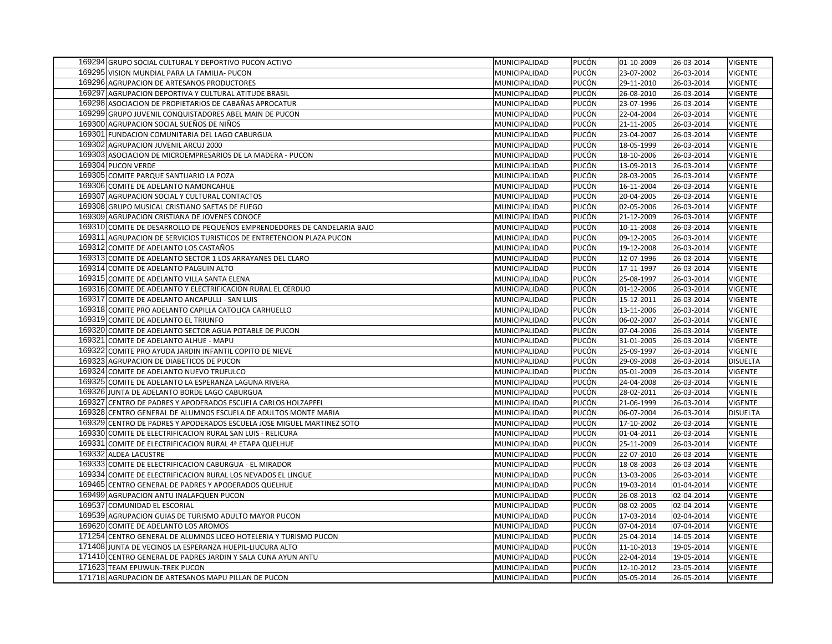| 169294 GRUPO SOCIAL CULTURAL Y DEPORTIVO PUCON ACTIVO                    | MUNICIPALIDAD | PUCÓN | 01-10-2009 | 26-03-2014 | <b>VIGENTE</b>  |
|--------------------------------------------------------------------------|---------------|-------|------------|------------|-----------------|
| 169295 VISION MUNDIAL PARA LA FAMILIA- PUCON                             | MUNICIPALIDAD | PUCÓN | 23-07-2002 | 26-03-2014 | <b>VIGENTE</b>  |
| 169296 AGRUPACION DE ARTESANOS PRODUCTORES                               | MUNICIPALIDAD | PUCÓN | 29-11-2010 | 26-03-2014 | <b>VIGENTE</b>  |
| 169297 AGRUPACION DEPORTIVA Y CULTURAL ATITUDE BRASIL                    | MUNICIPALIDAD | PUCÓN | 26-08-2010 | 26-03-2014 | <b>VIGENTE</b>  |
| 169298 ASOCIACION DE PROPIETARIOS DE CABAÑAS APROCATUR                   | MUNICIPALIDAD | PUCÓN | 23-07-1996 | 26-03-2014 | <b>VIGENTE</b>  |
| 169299 GRUPO JUVENIL CONQUISTADORES ABEL MAIN DE PUCON                   | MUNICIPALIDAD | PUCÓN | 22-04-2004 | 26-03-2014 | <b>VIGENTE</b>  |
| 169300 AGRUPACION SOCIAL SUEÑOS DE NIÑOS                                 | MUNICIPALIDAD | PUCÓN | 21-11-2005 | 26-03-2014 | <b>VIGENTE</b>  |
| 169301 FUNDACION COMUNITARIA DEL LAGO CABURGUA                           | MUNICIPALIDAD | PUCÓN | 23-04-2007 | 26-03-2014 | <b>VIGENTE</b>  |
| 169302 AGRUPACION JUVENIL ARCUJ 2000                                     | MUNICIPALIDAD | PUCÓN | 18-05-1999 | 26-03-2014 | <b>VIGENTE</b>  |
| 169303 ASOCIACION DE MICROEMPRESARIOS DE LA MADERA - PUCON               | MUNICIPALIDAD | PUCÓN | 18-10-2006 | 26-03-2014 | <b>VIGENTE</b>  |
| 169304 PUCON VERDE                                                       | MUNICIPALIDAD | PUCÓN | 13-09-2013 | 26-03-2014 | <b>VIGENTE</b>  |
| 169305 COMITE PARQUE SANTUARIO LA POZA                                   | MUNICIPALIDAD | PUCÓN | 28-03-2005 | 26-03-2014 | <b>VIGENTE</b>  |
| 169306 COMITE DE ADELANTO NAMONCAHUE                                     | MUNICIPALIDAD | PUCÓN | 16-11-2004 | 26-03-2014 | <b>VIGENTE</b>  |
| 169307 AGRUPACION SOCIAL Y CULTURAL CONTACTOS                            | MUNICIPALIDAD | PUCÓN | 20-04-2005 | 26-03-2014 | <b>VIGENTE</b>  |
| 169308 GRUPO MUSICAL CRISTIANO SAETAS DE FUEGO                           | MUNICIPALIDAD | PUCÓN | 02-05-2006 | 26-03-2014 | <b>VIGENTE</b>  |
| 169309 AGRUPACION CRISTIANA DE JOVENES CONOCE                            | MUNICIPALIDAD | PUCÓN | 21-12-2009 | 26-03-2014 | VIGENTE         |
| 169310 COMITE DE DESARROLLO DE PEQUEÑOS EMPRENDEDORES DE CANDELARIA BAJO | MUNICIPALIDAD | PUCÓN | 10-11-2008 | 26-03-2014 | <b>VIGENTE</b>  |
| 169311 AGRUPACION DE SERVICIOS TURISTICOS DE ENTRETENCION PLAZA PUCON    | MUNICIPALIDAD | PUCÓN | 09-12-2005 | 26-03-2014 | <b>VIGENTE</b>  |
| 169312 COMITE DE ADELANTO LOS CASTAÑOS                                   | MUNICIPALIDAD | PUCÓN | 19-12-2008 | 26-03-2014 | <b>VIGENTE</b>  |
| 169313 COMITE DE ADELANTO SECTOR 1 LOS ARRAYANES DEL CLARO               | MUNICIPALIDAD | PUCÓN | 12-07-1996 | 26-03-2014 | <b>VIGENTE</b>  |
| 169314 COMITE DE ADELANTO PALGUIN ALTO                                   | MUNICIPALIDAD | PUCÓN | 17-11-1997 | 26-03-2014 | VIGENTE         |
| 169315 COMITE DE ADELANTO VILLA SANTA ELENA                              | MUNICIPALIDAD | PUCÓN | 25-08-1997 | 26-03-2014 | <b>VIGENTE</b>  |
| 169316 COMITE DE ADELANTO Y ELECTRIFICACION RURAL EL CERDUO              | MUNICIPALIDAD | PUCÓN | 01-12-2006 | 26-03-2014 | <b>VIGENTE</b>  |
| 169317 COMITE DE ADELANTO ANCAPULLI - SAN LUIS                           | MUNICIPALIDAD | PUCÓN | 15-12-2011 | 26-03-2014 | <b>VIGENTE</b>  |
| 169318 COMITE PRO ADELANTO CAPILLA CATOLICA CARHUELLO                    | MUNICIPALIDAD | PUCÓN | 13-11-2006 | 26-03-2014 | <b>VIGENTE</b>  |
| 169319 COMITE DE ADELANTO EL TRIUNFO                                     | MUNICIPALIDAD | PUCÓN | 06-02-2007 | 26-03-2014 | <b>VIGENTE</b>  |
| 169320 COMITE DE ADELANTO SECTOR AGUA POTABLE DE PUCON                   | MUNICIPALIDAD | PUCÓN | 07-04-2006 | 26-03-2014 | <b>VIGENTE</b>  |
| 169321 COMITE DE ADELANTO ALHUE - MAPU                                   | MUNICIPALIDAD | PUCÓN | 31-01-2005 | 26-03-2014 | <b>VIGENTE</b>  |
| 169322 COMITE PRO AYUDA JARDIN INFANTIL COPITO DE NIEVE                  | MUNICIPALIDAD | PUCÓN | 25-09-1997 | 26-03-2014 | <b>VIGENTE</b>  |
| 169323 AGRUPACION DE DIABETICOS DE PUCON                                 | MUNICIPALIDAD | PUCÓN | 29-09-2008 | 26-03-2014 | <b>DISUELTA</b> |
| 169324 COMITE DE ADELANTO NUEVO TRUFULCO                                 | MUNICIPALIDAD | PUCÓN | 05-01-2009 | 26-03-2014 | <b>VIGENTE</b>  |
| 169325 COMITE DE ADELANTO LA ESPERANZA LAGUNA RIVERA                     | MUNICIPALIDAD | PUCÓN | 24-04-2008 | 26-03-2014 | <b>VIGENTE</b>  |
| 169326 JUNTA DE ADELANTO BORDE LAGO CABURGUA                             | MUNICIPALIDAD | PUCÓN | 28-02-2011 | 26-03-2014 | <b>VIGENTE</b>  |
| 169327 CENTRO DE PADRES Y APODERADOS ESCUELA CARLOS HOLZAPFEL            | MUNICIPALIDAD | PUCÓN | 21-06-1999 | 26-03-2014 | <b>VIGENTE</b>  |
| 169328 CENTRO GENERAL DE ALUMNOS ESCUELA DE ADULTOS MONTE MARIA          | MUNICIPALIDAD | PUCÓN | 06-07-2004 | 26-03-2014 | <b>DISUELTA</b> |
| 169329 CENTRO DE PADRES Y APODERADOS ESCUELA JOSE MIGUEL MARTINEZ SOTO   | MUNICIPALIDAD | PUCÓN | 17-10-2002 | 26-03-2014 | VIGENTE         |
| 169330 COMITE DE ELECTRIFICACION RURAL SAN LUIS - RELICURA               | MUNICIPALIDAD | PUCÓN | 01-04-2011 | 26-03-2014 | <b>VIGENTE</b>  |
| 169331 COMITE DE ELECTRIFICACION RURAL 4ª ETAPA QUELHUE                  | MUNICIPALIDAD | PUCÓN | 25-11-2009 | 26-03-2014 | <b>VIGENTE</b>  |
| 169332 ALDEA LACUSTRE                                                    | MUNICIPALIDAD | PUCÓN | 22-07-2010 | 26-03-2014 | <b>VIGENTE</b>  |
| 169333 COMITE DE ELECTRIFICACION CABURGUA - EL MIRADOR                   | MUNICIPALIDAD | PUCÓN | 18-08-2003 | 26-03-2014 | <b>VIGENTE</b>  |
| 169334 COMITE DE ELECTRIFICACION RURAL LOS NEVADOS EL LINGUE             | MUNICIPALIDAD | PUCÓN | 13-03-2006 | 26-03-2014 | <b>VIGENTE</b>  |
| 169465 CENTRO GENERAL DE PADRES Y APODERADOS QUELHUE                     | MUNICIPALIDAD | PUCÓN | 19-03-2014 | 01-04-2014 | <b>VIGENTE</b>  |
| 169499 AGRUPACION ANTU INALAFQUEN PUCON                                  | MUNICIPALIDAD | PUCÓN | 26-08-2013 | 02-04-2014 | <b>VIGENTE</b>  |
| 169537 COMUNIDAD EL ESCORIAL                                             | MUNICIPALIDAD | PUCÓN | 08-02-2005 | 02-04-2014 | <b>VIGENTE</b>  |
| 169539 AGRUPACION GUIAS DE TURISMO ADULTO MAYOR PUCON                    | MUNICIPALIDAD | PUCÓN | 17-03-2014 | 02-04-2014 | <b>VIGENTE</b>  |
| 169620 COMITE DE ADELANTO LOS AROMOS                                     | MUNICIPALIDAD | PUCÓN | 07-04-2014 | 07-04-2014 | <b>VIGENTE</b>  |
| 171254 CENTRO GENERAL DE ALUMNOS LICEO HOTELERIA Y TURISMO PUCON         | MUNICIPALIDAD | PUCÓN | 25-04-2014 | 14-05-2014 | <b>VIGENTE</b>  |
| 171408 JUNTA DE VECINOS LA ESPERANZA HUEPIL-LIUCURA ALTO                 | MUNICIPALIDAD | PUCÓN | 11-10-2013 | 19-05-2014 | <b>VIGENTE</b>  |
| 171410 CENTRO GENERAL DE PADRES JARDIN Y SALA CUNA AYUN ANTU             | MUNICIPALIDAD | PUCÓN | 22-04-2014 | 19-05-2014 | <b>VIGENTE</b>  |
| 171623 TEAM EPUWUN-TREK PUCON                                            | MUNICIPALIDAD | PUCÓN | 12-10-2012 | 23-05-2014 | <b>VIGENTE</b>  |
| 171718 AGRUPACION DE ARTESANOS MAPU PILLAN DE PUCON                      | MUNICIPALIDAD | PUCÓN | 05-05-2014 | 26-05-2014 | <b>VIGENTE</b>  |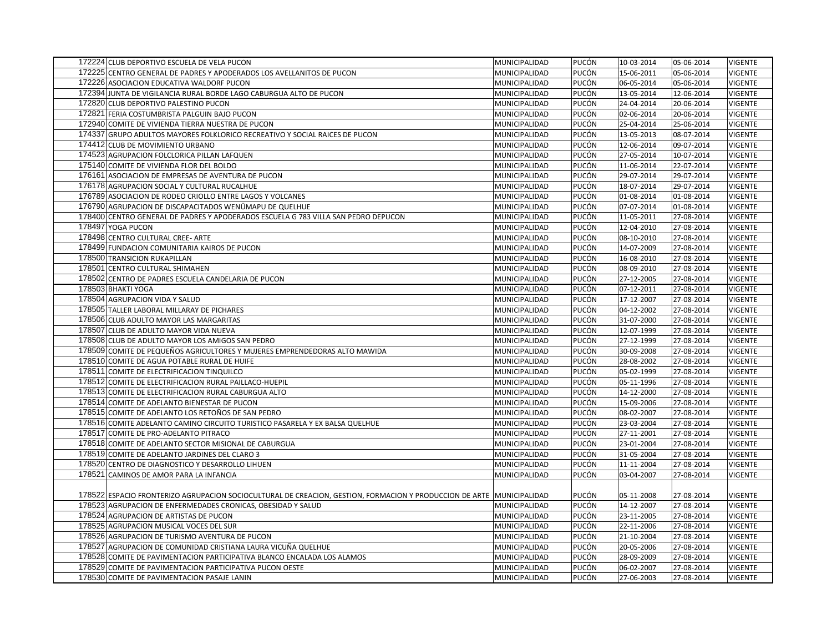| 172224 CLUB DEPORTIVO ESCUELA DE VELA PUCON                                                                            | MUNICIPALIDAD | PUCÓN | 10-03-2014 | 05-06-2014 | <b>VIGENTE</b> |
|------------------------------------------------------------------------------------------------------------------------|---------------|-------|------------|------------|----------------|
| 172225 CENTRO GENERAL DE PADRES Y APODERADOS LOS AVELLANITOS DE PUCON                                                  | MUNICIPALIDAD | PUCÓN | 15-06-2011 | 05-06-2014 | VIGENTE        |
| 172226 ASOCIACION EDUCATIVA WALDORF PUCON                                                                              | MUNICIPALIDAD | PUCÓN | 06-05-2014 | 05-06-2014 | <b>VIGENTE</b> |
| 172394 JUNTA DE VIGILANCIA RURAL BORDE LAGO CABURGUA ALTO DE PUCON                                                     | MUNICIPALIDAD | PUCÓN | 13-05-2014 | 12-06-2014 | <b>VIGENTE</b> |
| 172820 CLUB DEPORTIVO PALESTINO PUCON                                                                                  | MUNICIPALIDAD | PUCÓN | 24-04-2014 | 20-06-2014 | <b>VIGENTE</b> |
| 172821 FERIA COSTUMBRISTA PALGUIN BAJO PUCON                                                                           | MUNICIPALIDAD | PUCÓN | 02-06-2014 | 20-06-2014 | <b>VIGENTE</b> |
| 172940 COMITE DE VIVIENDA TIERRA NUESTRA DE PUCON                                                                      | MUNICIPALIDAD | PUCÓN | 25-04-2014 | 25-06-2014 | <b>VIGENTE</b> |
| 174337 GRUPO ADULTOS MAYORES FOLKLORICO RECREATIVO Y SOCIAL RAICES DE PUCON                                            | MUNICIPALIDAD | PUCÓN | 13-05-2013 | 08-07-2014 | <b>VIGENTE</b> |
| 174412 CLUB DE MOVIMIENTO URBANO                                                                                       | MUNICIPALIDAD | PUCÓN | 12-06-2014 | 09-07-2014 | <b>VIGENTE</b> |
| 174523 AGRUPACION FOLCLORICA PILLAN LAFQUEN                                                                            | MUNICIPALIDAD | PUCÓN | 27-05-2014 | 10-07-2014 | <b>VIGENTE</b> |
| 175140 COMITE DE VIVIENDA FLOR DEL BOLDO                                                                               | MUNICIPALIDAD | PUCÓN | 11-06-2014 | 22-07-2014 | <b>VIGENTE</b> |
| 176161 ASOCIACION DE EMPRESAS DE AVENTURA DE PUCON                                                                     | MUNICIPALIDAD | PUCÓN | 29-07-2014 | 29-07-2014 | <b>VIGENTE</b> |
| 176178 AGRUPACION SOCIAL Y CULTURAL RUCALHUE                                                                           | MUNICIPALIDAD | PUCÓN | 18-07-2014 | 29-07-2014 | <b>VIGENTE</b> |
| 176789 ASOCIACION DE RODEO CRIOLLO ENTRE LAGOS Y VOLCANES                                                              | MUNICIPALIDAD | PUCÓN | 01-08-2014 | 01-08-2014 | <b>VIGENTE</b> |
| 176790 AGRUPACION DE DISCAPACITADOS WENÜMAPU DE QUELHUE                                                                | MUNICIPALIDAD | PUCÓN | 07-07-2014 | 01-08-2014 | <b>VIGENTE</b> |
| 178400 CENTRO GENERAL DE PADRES Y APODERADOS ESCUELA G 783 VILLA SAN PEDRO DEPUCON                                     | MUNICIPALIDAD | PUCÓN | 11-05-2011 | 27-08-2014 | <b>VIGENTE</b> |
| 178497 YOGA PUCON                                                                                                      | MUNICIPALIDAD | PUCÓN | 12-04-2010 | 27-08-2014 | <b>VIGENTE</b> |
| 178498 CENTRO CULTURAL CREE- ARTE                                                                                      | MUNICIPALIDAD | PUCÓN | 08-10-2010 | 27-08-2014 | <b>VIGENTE</b> |
| 178499 FUNDACION COMUNITARIA KAIROS DE PUCON                                                                           | MUNICIPALIDAD | PUCÓN | 14-07-2009 | 27-08-2014 | <b>VIGENTE</b> |
| 178500 TRANSICION RUKAPILLAN                                                                                           | MUNICIPALIDAD | PUCÓN | 16-08-2010 | 27-08-2014 | <b>VIGENTE</b> |
| 178501 CENTRO CULTURAL SHIMAHEN                                                                                        | MUNICIPALIDAD | PUCÓN | 08-09-2010 | 27-08-2014 | <b>VIGENTE</b> |
| 178502 CENTRO DE PADRES ESCUELA CANDELARIA DE PUCON                                                                    | MUNICIPALIDAD | PUCÓN | 27-12-2005 | 27-08-2014 | <b>VIGENTE</b> |
| 178503 BHAKTI YOGA                                                                                                     | MUNICIPALIDAD | PUCÓN | 07-12-2011 | 27-08-2014 | <b>VIGENTE</b> |
| 178504 AGRUPACION VIDA Y SALUD                                                                                         | MUNICIPALIDAD | PUCÓN | 17-12-2007 | 27-08-2014 | <b>VIGENTE</b> |
| 178505 TALLER LABORAL MILLARAY DE PICHARES                                                                             | MUNICIPALIDAD | PUCÓN | 04-12-2002 | 27-08-2014 | <b>VIGENTE</b> |
| 178506 CLUB ADULTO MAYOR LAS MARGARITAS                                                                                | MUNICIPALIDAD | PUCÓN | 31-07-2000 | 27-08-2014 | <b>VIGENTE</b> |
| 178507 CLUB DE ADULTO MAYOR VIDA NUEVA                                                                                 | MUNICIPALIDAD | PUCÓN | 12-07-1999 | 27-08-2014 | <b>VIGENTE</b> |
| 178508 CLUB DE ADULTO MAYOR LOS AMIGOS SAN PEDRO                                                                       | MUNICIPALIDAD | PUCÓN | 27-12-1999 | 27-08-2014 | <b>VIGENTE</b> |
| 178509 COMITE DE PEQUEÑOS AGRICULTORES Y MUJERES EMPRENDEDORAS ALTO MAWIDA                                             | MUNICIPALIDAD | PUCÓN | 30-09-2008 | 27-08-2014 | <b>VIGENTE</b> |
| 178510 COMITE DE AGUA POTABLE RURAL DE HUIFE                                                                           | MUNICIPALIDAD | PUCÓN | 28-08-2002 | 27-08-2014 | <b>VIGENTE</b> |
| 178511 COMITE DE ELECTRIFICACION TINQUILCO                                                                             | MUNICIPALIDAD | PUCÓN | 05-02-1999 | 27-08-2014 | <b>VIGENTE</b> |
| 178512 COMITE DE ELECTRIFICACION RURAL PAILLACO-HUEPIL                                                                 | MUNICIPALIDAD | PUCÓN | 05-11-1996 | 27-08-2014 | <b>VIGENTE</b> |
| 178513 COMITE DE ELECTRIFICACION RURAL CABURGUA ALTO                                                                   | MUNICIPALIDAD | PUCÓN | 14-12-2000 | 27-08-2014 | <b>VIGENTE</b> |
| 178514 COMITE DE ADELANTO BIENESTAR DE PUCON                                                                           | MUNICIPALIDAD | PUCÓN | 15-09-2006 | 27-08-2014 | <b>VIGENTE</b> |
| 178515 COMITE DE ADELANTO LOS RETOÑOS DE SAN PEDRO                                                                     | MUNICIPALIDAD | PUCÓN | 08-02-2007 | 27-08-2014 | <b>VIGENTE</b> |
| 178516 COMITE ADELANTO CAMINO CIRCUITO TURISTICO PASARELA Y EX BALSA QUELHUE                                           | MUNICIPALIDAD | PUCÓN | 23-03-2004 | 27-08-2014 | <b>VIGENTE</b> |
| 178517 COMITE DE PRO-ADELANTO PITRACO                                                                                  | MUNICIPALIDAD | PUCÓN | 27-11-2001 | 27-08-2014 | <b>VIGENTE</b> |
| 178518 COMITE DE ADELANTO SECTOR MISIONAL DE CABURGUA                                                                  | MUNICIPALIDAD | PUCÓN | 23-01-2004 | 27-08-2014 | <b>VIGENTE</b> |
| 178519 COMITE DE ADELANTO JARDINES DEL CLARO 3                                                                         | MUNICIPALIDAD | PUCÓN | 31-05-2004 | 27-08-2014 | <b>VIGENTE</b> |
| 178520 CENTRO DE DIAGNOSTICO Y DESARROLLO LIHUEN                                                                       | MUNICIPALIDAD | PUCÓN | 11-11-2004 | 27-08-2014 | <b>VIGENTE</b> |
| 178521 CAMINOS DE AMOR PARA LA INFANCIA                                                                                | MUNICIPALIDAD | PUCÓN | 03-04-2007 | 27-08-2014 | <b>VIGENTE</b> |
|                                                                                                                        |               |       |            |            |                |
| 178522 ESPACIO FRONTERIZO AGRUPACION SOCIOCULTURAL DE CREACION, GESTION, FORMACION Y PRODUCCION DE ARTE  MUNICIPALIDAD |               | PUCÓN | 05-11-2008 | 27-08-2014 | <b>VIGENTE</b> |
| 178523 AGRUPACION DE ENFERMEDADES CRONICAS, OBESIDAD Y SALUD                                                           | MUNICIPALIDAD | PUCÓN | 14-12-2007 | 27-08-2014 | <b>VIGENTE</b> |
| 178524 AGRUPACION DE ARTISTAS DE PUCON                                                                                 | MUNICIPALIDAD | PUCÓN | 23-11-2005 | 27-08-2014 | <b>VIGENTE</b> |
| 178525 AGRUPACION MUSICAL VOCES DEL SUR                                                                                | MUNICIPALIDAD | PUCÓN | 22-11-2006 | 27-08-2014 | <b>VIGENTE</b> |
| 178526 AGRUPACION DE TURISMO AVENTURA DE PUCON                                                                         | MUNICIPALIDAD | PUCÓN | 21-10-2004 | 27-08-2014 | <b>VIGENTE</b> |
| 178527 AGRUPACION DE COMUNIDAD CRISTIANA LAURA VICUÑA QUELHUE                                                          | MUNICIPALIDAD | PUCÓN | 20-05-2006 | 27-08-2014 | <b>VIGENTE</b> |
| 178528 COMITE DE PAVIMENTACION PARTICIPATIVA BLANCO ENCALADA LOS ALAMOS                                                | MUNICIPALIDAD | PUCÓN | 28-09-2009 | 27-08-2014 | <b>VIGENTE</b> |
| 178529 COMITE DE PAVIMENTACION PARTICIPATIVA PUCON OESTE                                                               | MUNICIPALIDAD | PUCÓN | 06-02-2007 | 27-08-2014 | <b>VIGENTE</b> |
| 178530 COMITE DE PAVIMENTACION PASAJE LANIN                                                                            | MUNICIPALIDAD | PUCÓN | 27-06-2003 | 27-08-2014 | <b>VIGENTE</b> |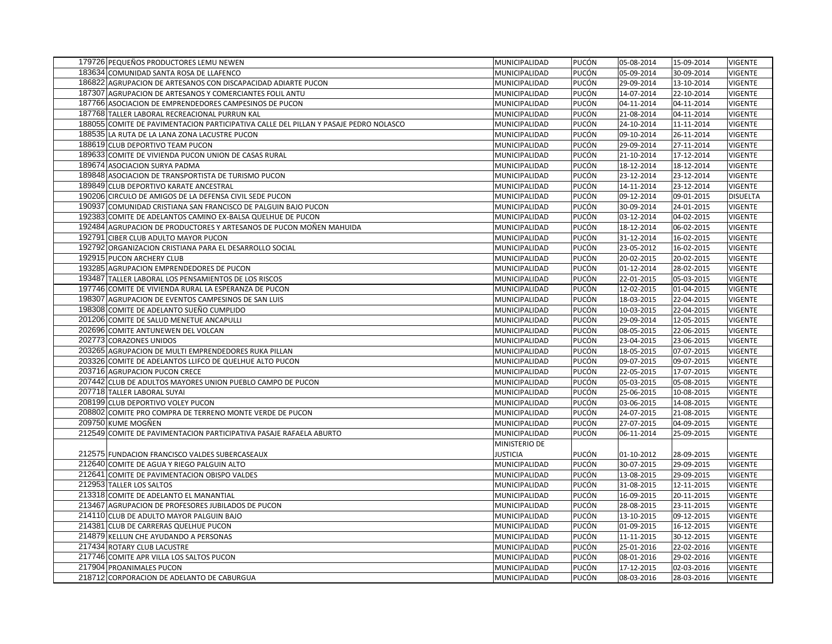| 179726 PEQUEÑOS PRODUCTORES LEMU NEWEN                                               | MUNICIPALIDAD   | PUCÓN | 05-08-2014 | 15-09-2014 | <b>VIGENTE</b>  |
|--------------------------------------------------------------------------------------|-----------------|-------|------------|------------|-----------------|
| 183634 COMUNIDAD SANTA ROSA DE LLAFENCO                                              | MUNICIPALIDAD   | PUCÓN | 05-09-2014 | 30-09-2014 | VIGENTE         |
| 186822 AGRUPACION DE ARTESANOS CON DISCAPACIDAD ADIARTE PUCON                        | MUNICIPALIDAD   | PUCÓN | 29-09-2014 | 13-10-2014 | <b>VIGENTE</b>  |
| 187307 AGRUPACION DE ARTESANOS Y COMERCIANTES FOLIL ANTU                             | MUNICIPALIDAD   | PUCÓN | 14-07-2014 | 22-10-2014 | <b>VIGENTE</b>  |
| 187766 ASOCIACION DE EMPRENDEDORES CAMPESINOS DE PUCON                               | MUNICIPALIDAD   | PUCÓN | 04-11-2014 | 04-11-2014 | <b>VIGENTE</b>  |
| 187768 TALLER LABORAL RECREACIONAL PURRUN KAL                                        | MUNICIPALIDAD   | PUCÓN | 21-08-2014 | 04-11-2014 | <b>VIGENTE</b>  |
| 188055 COMITE DE PAVIMENTACION PARTICIPATIVA CALLE DEL PILLAN Y PASAJE PEDRO NOLASCO | MUNICIPALIDAD   | PUCÓN | 24-10-2014 | 11-11-2014 | <b>VIGENTE</b>  |
| 188535 LA RUTA DE LA LANA ZONA LACUSTRE PUCON                                        | MUNICIPALIDAD   | PUCÓN | 09-10-2014 | 26-11-2014 | <b>VIGENTE</b>  |
|                                                                                      |                 |       |            |            |                 |
| 188619 CLUB DEPORTIVO TEAM PUCON                                                     | MUNICIPALIDAD   | PUCÓN | 29-09-2014 | 27-11-2014 | <b>VIGENTE</b>  |
| 189633 COMITE DE VIVIENDA PUCON UNION DE CASAS RURAL                                 | MUNICIPALIDAD   | PUCÓN | 21-10-2014 | 17-12-2014 | <b>VIGENTE</b>  |
| 189674 ASOCIACION SURYA PADMA                                                        | MUNICIPALIDAD   | PUCÓN | 18-12-2014 | 18-12-2014 | <b>VIGENTE</b>  |
| 189848 ASOCIACION DE TRANSPORTISTA DE TURISMO PUCON                                  | MUNICIPALIDAD   | PUCÓN | 23-12-2014 | 23-12-2014 | <b>VIGENTE</b>  |
| 189849 CLUB DEPORTIVO KARATE ANCESTRAL                                               | MUNICIPALIDAD   | PUCÓN | 14-11-2014 | 23-12-2014 | <b>VIGENTE</b>  |
| 190206 CIRCULO DE AMIGOS DE LA DEFENSA CIVIL SEDE PUCON                              | MUNICIPALIDAD   | PUCÓN | 09-12-2014 | 09-01-2015 | <b>DISUELTA</b> |
| 190937 COMUNIDAD CRISTIANA SAN FRANCISCO DE PALGUIN BAJO PUCON                       | MUNICIPALIDAD   | PUCÓN | 30-09-2014 | 24-01-2015 | <b>VIGENTE</b>  |
| 192383 COMITE DE ADELANTOS CAMINO EX-BALSA QUELHUE DE PUCON                          | MUNICIPALIDAD   | PUCÓN | 03-12-2014 | 04-02-2015 | <b>VIGENTE</b>  |
| 192484 AGRUPACION DE PRODUCTORES Y ARTESANOS DE PUCON MOÑEN MAHUIDA                  | MUNICIPALIDAD   | PUCÓN | 18-12-2014 | 06-02-2015 | <b>VIGENTE</b>  |
| 192791 CIBER CLUB ADULTO MAYOR PUCON                                                 | MUNICIPALIDAD   | PUCÓN | 31-12-2014 | 16-02-2015 | <b>VIGENTE</b>  |
| 192792 ORGANIZACION CRISTIANA PARA EL DESARROLLO SOCIAL                              | MUNICIPALIDAD   | PUCÓN | 23-05-2012 | 16-02-2015 | <b>VIGENTE</b>  |
| 192915 PUCON ARCHERY CLUB                                                            | MUNICIPALIDAD   | PUCÓN | 20-02-2015 | 20-02-2015 | <b>VIGENTE</b>  |
| 193285 AGRUPACION EMPRENDEDORES DE PUCON                                             | MUNICIPALIDAD   | PUCÓN | 01-12-2014 | 28-02-2015 | <b>VIGENTE</b>  |
| 193487 TALLER LABORAL LOS PENSAMIENTOS DE LOS RISCOS                                 | MUNICIPALIDAD   | PUCÓN | 22-01-2015 | 05-03-2015 | <b>VIGENTE</b>  |
| 197746 COMITE DE VIVIENDA RURAL LA ESPERANZA DE PUCON                                | MUNICIPALIDAD   | PUCÓN | 12-02-2015 | 01-04-2015 | <b>VIGENTE</b>  |
| 198307 AGRUPACION DE EVENTOS CAMPESINOS DE SAN LUIS                                  | MUNICIPALIDAD   | PUCÓN | 18-03-2015 | 22-04-2015 | <b>VIGENTE</b>  |
| 198308 COMITE DE ADELANTO SUEÑO CUMPLIDO                                             | MUNICIPALIDAD   | PUCÓN | 10-03-2015 | 22-04-2015 | <b>VIGENTE</b>  |
| 201206 COMITE DE SALUD MENETUE ANCAPULLI                                             | MUNICIPALIDAD   | PUCÓN | 29-09-2014 | 12-05-2015 | <b>VIGENTE</b>  |
| 202696 COMITE ANTUNEWEN DEL VOLCAN                                                   | MUNICIPALIDAD   | PUCÓN | 08-05-2015 | 22-06-2015 | <b>VIGENTE</b>  |
| 202773 CORAZONES UNIDOS                                                              | MUNICIPALIDAD   | PUCÓN | 23-04-2015 | 23-06-2015 | VIGENTE         |
| 203265 AGRUPACION DE MULTI EMPRENDEDORES RUKA PILLAN                                 | MUNICIPALIDAD   | PUCÓN | 18-05-2015 | 07-07-2015 | <b>VIGENTE</b>  |
| 203326 COMITE DE ADELANTOS LLIFCO DE QUELHUE ALTO PUCON                              | MUNICIPALIDAD   | PUCÓN | 09-07-2015 | 09-07-2015 | <b>VIGENTE</b>  |
| 203716 AGRUPACION PUCON CRECE                                                        | MUNICIPALIDAD   | PUCÓN | 22-05-2015 | 17-07-2015 | <b>VIGENTE</b>  |
| 207442 CLUB DE ADULTOS MAYORES UNION PUEBLO CAMPO DE PUCON                           | MUNICIPALIDAD   | PUCÓN | 05-03-2015 | 05-08-2015 | <b>VIGENTE</b>  |
| 207718 TALLER LABORAL SUYAI                                                          | MUNICIPALIDAD   | PUCÓN | 25-06-2015 | 10-08-2015 | <b>VIGENTE</b>  |
| 208199 CLUB DEPORTIVO VOLEY PUCON                                                    | MUNICIPALIDAD   | PUCÓN | 03-06-2015 | 14-08-2015 | <b>VIGENTE</b>  |
| 208802 COMITE PRO COMPRA DE TERRENO MONTE VERDE DE PUCON                             | MUNICIPALIDAD   | PUCÓN | 24-07-2015 | 21-08-2015 | <b>VIGENTE</b>  |
| 209750 KUME MOGÑEN                                                                   | MUNICIPALIDAD   | PUCÓN | 27-07-2015 | 04-09-2015 | <b>VIGENTE</b>  |
| 212549 COMITE DE PAVIMENTACION PARTICIPATIVA PASAJE RAFAELA ABURTO                   | MUNICIPALIDAD   | PUCÓN | 06-11-2014 | 25-09-2015 | <b>VIGENTE</b>  |
|                                                                                      | MINISTERIO DE   |       |            |            |                 |
| 212575 FUNDACION FRANCISCO VALDES SUBERCASEAUX                                       | <b>JUSTICIA</b> | PUCÓN | 01-10-2012 | 28-09-2015 | <b>VIGENTE</b>  |
| 212640 COMITE DE AGUA Y RIEGO PALGUIN ALTO                                           | MUNICIPALIDAD   | PUCÓN | 30-07-2015 | 29-09-2015 | <b>VIGENTE</b>  |
| 212641 COMITE DE PAVIMENTACION OBISPO VALDES                                         | MUNICIPALIDAD   | PUCÓN | 13-08-2015 | 29-09-2015 | <b>VIGENTE</b>  |
| 212953 TALLER LOS SALTOS                                                             | MUNICIPALIDAD   | PUCÓN | 31-08-2015 | 12-11-2015 | <b>VIGENTE</b>  |
| 213318 COMITE DE ADELANTO EL MANANTIAL                                               | MUNICIPALIDAD   | PUCÓN | 16-09-2015 | 20-11-2015 | <b>VIGENTE</b>  |
| 213467 AGRUPACION DE PROFESORES JUBILADOS DE PUCON                                   | MUNICIPALIDAD   | PUCÓN | 28-08-2015 | 23-11-2015 | <b>VIGENTE</b>  |
| 214110 CLUB DE ADULTO MAYOR PALGUIN BAJO                                             | MUNICIPALIDAD   | PUCÓN | 13-10-2015 | 09-12-2015 | <b>VIGENTE</b>  |
| 214381 CLUB DE CARRERAS QUELHUE PUCON                                                | MUNICIPALIDAD   | PUCÓN | 01-09-2015 | 16-12-2015 | <b>VIGENTE</b>  |
| 214879 KELLUN CHE AYUDANDO A PERSONAS                                                | MUNICIPALIDAD   | PUCÓN | 11-11-2015 | 30-12-2015 | <b>VIGENTE</b>  |
| 217434 ROTARY CLUB LACUSTRE                                                          | MUNICIPALIDAD   | PUCÓN | 25-01-2016 | 22-02-2016 | <b>VIGENTE</b>  |
| 217746 COMITE APR VILLA LOS SALTOS PUCON                                             | MUNICIPALIDAD   | PUCÓN | 08-01-2016 | 29-02-2016 | <b>VIGENTE</b>  |
| 217904 PROANIMALES PUCON                                                             | MUNICIPALIDAD   | PUCÓN | 17-12-2015 | 02-03-2016 | <b>VIGENTE</b>  |
| 218712 CORPORACION DE ADELANTO DE CABURGUA                                           | MUNICIPALIDAD   | PUCÓN | 08-03-2016 | 28-03-2016 | <b>VIGENTE</b>  |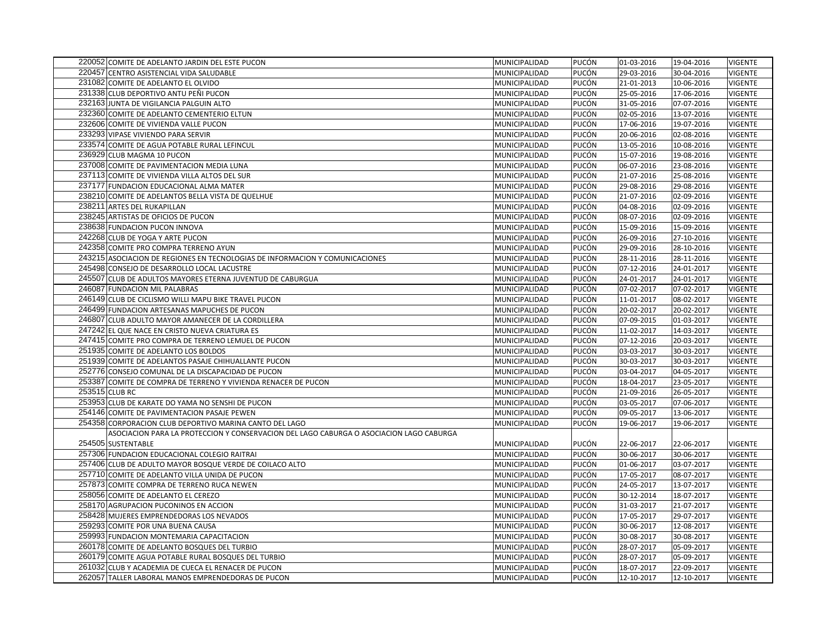| 220052 COMITE DE ADELANTO JARDIN DEL ESTE PUCON                                                           | MUNICIPALIDAD                  | PUCÓN          | 01-03-2016               | 19-04-2016               | <b>VIGENTE</b>                   |
|-----------------------------------------------------------------------------------------------------------|--------------------------------|----------------|--------------------------|--------------------------|----------------------------------|
| 220457 CENTRO ASISTENCIAL VIDA SALUDABLE                                                                  | MUNICIPALIDAD                  | PUCÓN          | 29-03-2016               | 30-04-2016               | VIGENTE                          |
| 231082 COMITE DE ADELANTO EL OLVIDO                                                                       | MUNICIPALIDAD                  | PUCÓN          | 21-01-2013               | 10-06-2016               | <b>VIGENTE</b>                   |
| 231338 CLUB DEPORTIVO ANTU PEÑI PUCON                                                                     | MUNICIPALIDAD                  | PUCÓN          | 25-05-2016               | 17-06-2016               | <b>VIGENTE</b>                   |
| 232163 JUNTA DE VIGILANCIA PALGUIN ALTO                                                                   | MUNICIPALIDAD                  | PUCÓN          | 31-05-2016               | 07-07-2016               | <b>VIGENTE</b>                   |
| 232360 COMITE DE ADELANTO CEMENTERIO ELTUN                                                                | MUNICIPALIDAD                  | PUCÓN          | 02-05-2016               | 13-07-2016               | <b>VIGENTE</b>                   |
| 232606 COMITE DE VIVIENDA VALLE PUCON                                                                     | MUNICIPALIDAD                  | PUCÓN          | 17-06-2016               | 19-07-2016               | <b>VIGENTE</b>                   |
| 233293 VIPASE VIVIENDO PARA SERVIR                                                                        | MUNICIPALIDAD                  | PUCÓN          | 20-06-2016               | 02-08-2016               | <b>VIGENTE</b>                   |
| 233574 COMITE DE AGUA POTABLE RURAL LEFINCUL                                                              | MUNICIPALIDAD                  | PUCÓN          | 13-05-2016               | 10-08-2016               | <b>VIGENTE</b>                   |
| 236929 CLUB MAGMA 10 PUCON                                                                                | MUNICIPALIDAD                  | PUCÓN          | 15-07-2016               | 19-08-2016               | <b>VIGENTE</b>                   |
| 237008 COMITE DE PAVIMENTACION MEDIA LUNA                                                                 | MUNICIPALIDAD                  | PUCÓN          | 06-07-2016               | 23-08-2016               | <b>VIGENTE</b>                   |
| 237113 COMITE DE VIVIENDA VILLA ALTOS DEL SUR                                                             | MUNICIPALIDAD                  | PUCÓN          | 21-07-2016               | 25-08-2016               | <b>VIGENTE</b>                   |
| 237177 FUNDACION EDUCACIONAL ALMA MATER                                                                   | MUNICIPALIDAD                  | PUCÓN          | 29-08-2016               | 29-08-2016               | <b>VIGENTE</b>                   |
| 238210 COMITE DE ADELANTOS BELLA VISTA DE QUELHUE                                                         | MUNICIPALIDAD                  | PUCÓN          | 21-07-2016               | 02-09-2016               | VIGENTE                          |
| 238211 ARTES DEL RUKAPILLAN                                                                               | MUNICIPALIDAD                  | PUCÓN          | 04-08-2016               | 02-09-2016               | <b>VIGENTE</b>                   |
| 238245 ARTISTAS DE OFICIOS DE PUCON                                                                       | MUNICIPALIDAD                  | PUCÓN          | 08-07-2016               | 02-09-2016               | VIGENTE                          |
| 238638 FUNDACION PUCON INNOVA                                                                             | MUNICIPALIDAD                  | PUCÓN          | 15-09-2016               | 15-09-2016               | <b>VIGENTE</b>                   |
| 242268 CLUB DE YOGA Y ARTE PUCON                                                                          | MUNICIPALIDAD                  | PUCÓN          | 26-09-2016               | 27-10-2016               | <b>VIGENTE</b>                   |
| 242358 COMITE PRO COMPRA TERRENO AYUN                                                                     | MUNICIPALIDAD                  | PUCÓN          | 29-09-2016               | 28-10-2016               | <b>VIGENTE</b>                   |
| 243215 ASOCIACION DE REGIONES EN TECNOLOGIAS DE INFORMACION Y COMUNICACIONES                              | MUNICIPALIDAD                  | PUCÓN          | 28-11-2016               | 28-11-2016               | <b>VIGENTE</b>                   |
| 245498 CONSEJO DE DESARROLLO LOCAL LACUSTRE                                                               | MUNICIPALIDAD                  | PUCÓN          | 07-12-2016               | 24-01-2017               | <b>VIGENTE</b>                   |
| 245507 CLUB DE ADULTOS MAYORES ETERNA JUVENTUD DE CABURGUA                                                | MUNICIPALIDAD                  | PUCÓN          | 24-01-2017               | 24-01-2017               | <b>VIGENTE</b>                   |
| 246087 FUNDACION MIL PALABRAS                                                                             | MUNICIPALIDAD                  | PUCÓN          | 07-02-2017               | 07-02-2017               | <b>VIGENTE</b>                   |
| 246149 CLUB DE CICLISMO WILLI MAPU BIKE TRAVEL PUCON                                                      | MUNICIPALIDAD                  | PUCÓN          | 11-01-2017               | 08-02-2017               | <b>VIGENTE</b>                   |
| 246499 FUNDACION ARTESANAS MAPUCHES DE PUCON                                                              | MUNICIPALIDAD                  | PUCÓN          | 20-02-2017               | 20-02-2017               | <b>VIGENTE</b>                   |
| 246807 CLUB ADULTO MAYOR AMANECER DE LA CORDILLERA                                                        | MUNICIPALIDAD                  | PUCÓN          | 07-09-2015               | 01-03-2017               | <b>VIGENTE</b>                   |
| 247242 EL QUE NACE EN CRISTO NUEVA CRIATURA ES                                                            | MUNICIPALIDAD                  | PUCÓN          | 11-02-2017               | 14-03-2017               | <b>VIGENTE</b>                   |
| 247415 COMITE PRO COMPRA DE TERRENO LEMUEL DE PUCON                                                       | MUNICIPALIDAD                  | PUCÓN          | 07-12-2016               | 20-03-2017               | <b>VIGENTE</b>                   |
| 251935 COMITE DE ADELANTO LOS BOLDOS                                                                      | MUNICIPALIDAD                  | PUCÓN          | 03-03-2017               | 30-03-2017               | <b>VIGENTE</b>                   |
| 251939 COMITE DE ADELANTOS PASAJE CHIHUALLANTE PUCON                                                      | MUNICIPALIDAD                  | PUCÓN          | 30-03-2017               | 30-03-2017               | <b>VIGENTE</b>                   |
| 252776 CONSEJO COMUNAL DE LA DISCAPACIDAD DE PUCON                                                        | MUNICIPALIDAD                  | PUCÓN          | 03-04-2017               | 04-05-2017               | <b>VIGENTE</b>                   |
| 253387 COMITE DE COMPRA DE TERRENO Y VIVIENDA RENACER DE PUCON                                            | MUNICIPALIDAD                  | PUCÓN          | 18-04-2017               | 23-05-2017               | <b>VIGENTE</b>                   |
| 253515 CLUB RC                                                                                            | MUNICIPALIDAD                  | PUCÓN          | 21-09-2016               | 26-05-2017               | <b>VIGENTE</b>                   |
| 253953 CLUB DE KARATE DO YAMA NO SENSHI DE PUCON                                                          | MUNICIPALIDAD                  | PUCÓN          | 03-05-2017               | 07-06-2017               | <b>VIGENTE</b>                   |
| 254146 COMITE DE PAVIMENTACION PASAJE PEWEN                                                               | MUNICIPALIDAD                  | PUCÓN          | 09-05-2017               | 13-06-2017               | <b>VIGENTE</b>                   |
| 254358 CORPORACION CLUB DEPORTIVO MARINA CANTO DEL LAGO                                                   | MUNICIPALIDAD                  | PUCÓN          | 19-06-2017               | 19-06-2017               | <b>VIGENTE</b>                   |
| ASOCIACION PARA LA PROTECCION Y CONSERVACION DEL LAGO CABURGA O ASOCIACION LAGO CABURGA                   |                                |                |                          |                          |                                  |
| 254505 SUSTENTABLE                                                                                        | MUNICIPALIDAD                  | PUCÓN          | 22-06-2017               | 22-06-2017               | <b>VIGENTE</b>                   |
| 257306 FUNDACION EDUCACIONAL COLEGIO RAITRAI                                                              | MUNICIPALIDAD                  | PUCÓN          | 30-06-2017               | 30-06-2017               | <b>VIGENTE</b>                   |
| 257406 CLUB DE ADULTO MAYOR BOSQUE VERDE DE COILACO ALTO                                                  | MUNICIPALIDAD                  | PUCÓN          | 01-06-2017               | 03-07-2017               | <b>VIGENTE</b>                   |
| 257710 COMITE DE ADELANTO VILLA UNIDA DE PUCON                                                            | MUNICIPALIDAD                  | PUCÓN          | 17-05-2017               | 08-07-2017               | <b>VIGENTE</b>                   |
| 257873 COMITE COMPRA DE TERRENO RUCA NEWEN                                                                | MUNICIPALIDAD                  | PUCÓN          | 24-05-2017               | 13-07-2017               | <b>VIGENTE</b>                   |
| 258056 COMITE DE ADELANTO EL CEREZO                                                                       | MUNICIPALIDAD                  | PUCÓN          | 30-12-2014               | 18-07-2017               | <b>VIGENTE</b>                   |
|                                                                                                           |                                |                |                          |                          |                                  |
| 258170 AGRUPACION PUCONINOS EN ACCION                                                                     | MUNICIPALIDAD                  | PUCÓN<br>PUCÓN | 31-03-2017               | 21-07-2017               | <b>VIGENTE</b><br><b>VIGENTE</b> |
| 258428 MUJERES EMPRENDEDORAS LOS NEVADOS                                                                  | MUNICIPALIDAD                  | PUCÓN          | 17-05-2017               | 29-07-2017               | <b>VIGENTE</b>                   |
| 259293 COMITE POR UNA BUENA CAUSA                                                                         | MUNICIPALIDAD                  | PUCÓN          | 30-06-2017               | 12-08-2017               |                                  |
| 259993 FUNDACION MONTEMARIA CAPACITACION                                                                  | MUNICIPALIDAD<br>MUNICIPALIDAD | PUCÓN          | 30-08-2017<br>28-07-2017 | 30-08-2017<br>05-09-2017 | <b>VIGENTE</b><br><b>VIGENTE</b> |
| 260178 COMITE DE ADELANTO BOSQUES DEL TURBIO<br>260179 COMITE AGUA POTABLE RURAL BOSQUES DEL TURBIO       |                                | PUCÓN          | 28-07-2017               |                          |                                  |
|                                                                                                           | MUNICIPALIDAD<br>MUNICIPALIDAD | PUCÓN          | 18-07-2017               | 05-09-2017<br>22-09-2017 | <b>VIGENTE</b><br><b>VIGENTE</b> |
| 261032 CLUB Y ACADEMIA DE CUECA EL RENACER DE PUCON<br>262057 TALLER LABORAL MANOS EMPRENDEDORAS DE PUCON | MUNICIPALIDAD                  | PUCÓN          | 12-10-2017               | 12-10-2017               | <b>VIGENTE</b>                   |
|                                                                                                           |                                |                |                          |                          |                                  |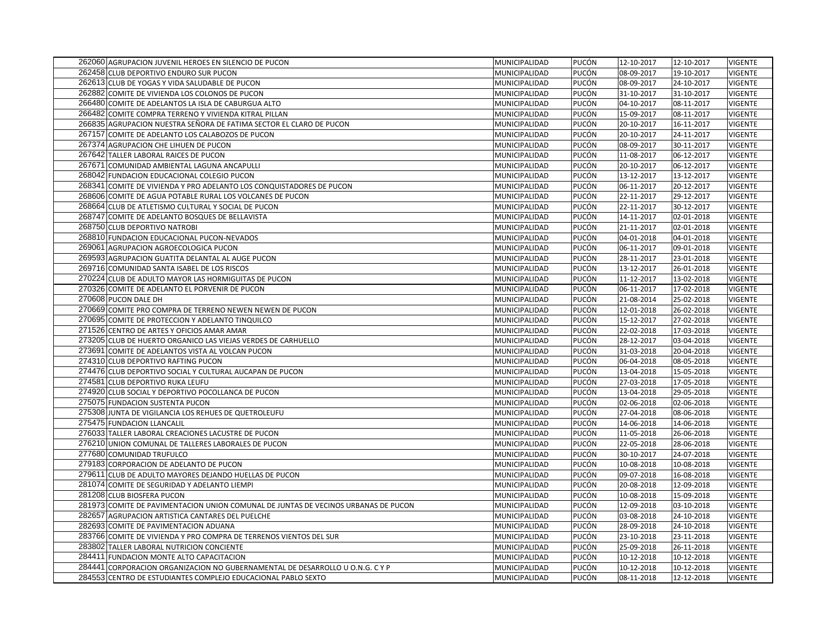| 262060 AGRUPACION JUVENIL HEROES EN SILENCIO DE PUCON                              | MUNICIPALIDAD | PUCÓN | 12-10-2017 | 12-10-2017 | <b>VIGENTE</b> |
|------------------------------------------------------------------------------------|---------------|-------|------------|------------|----------------|
| 262458 CLUB DEPORTIVO ENDURO SUR PUCON                                             | MUNICIPALIDAD | PUCÓN | 08-09-2017 | 19-10-2017 | <b>VIGENTE</b> |
| 262613 CLUB DE YOGAS Y VIDA SALUDABLE DE PUCON                                     | MUNICIPALIDAD | PUCÓN | 08-09-2017 | 24-10-2017 | <b>VIGENTE</b> |
| 262882 COMITE DE VIVIENDA LOS COLONOS DE PUCON                                     | MUNICIPALIDAD | PUCÓN | 31-10-2017 | 31-10-2017 | <b>VIGENTE</b> |
| 266480 COMITE DE ADELANTOS LA ISLA DE CABURGUA ALTO                                | MUNICIPALIDAD | PUCÓN | 04-10-2017 | 08-11-2017 | <b>VIGENTE</b> |
| 266482 COMITE COMPRA TERRENO Y VIVIENDA KITRAL PILLAN                              | MUNICIPALIDAD | PUCÓN | 15-09-2017 | 08-11-2017 | <b>VIGENTE</b> |
| 266835 AGRUPACION NUESTRA SEÑORA DE FATIMA SECTOR EL CLARO DE PUCON                | MUNICIPALIDAD | PUCÓN | 20-10-2017 | 16-11-2017 | <b>VIGENTE</b> |
| 267157 COMITE DE ADELANTO LOS CALABOZOS DE PUCON                                   | MUNICIPALIDAD | PUCÓN | 20-10-2017 | 24-11-2017 | <b>VIGENTE</b> |
| 267374 AGRUPACION CHE LIHUEN DE PUCON                                              | MUNICIPALIDAD | PUCÓN | 08-09-2017 | 30-11-2017 | VIGENTE        |
| 267642 TALLER LABORAL RAICES DE PUCON                                              | MUNICIPALIDAD | PUCÓN | 11-08-2017 | 06-12-2017 | <b>VIGENTE</b> |
| 267671 COMUNIDAD AMBIENTAL LAGUNA ANCAPULLI                                        | MUNICIPALIDAD | PUCÓN | 20-10-2017 | 06-12-2017 | <b>VIGENTE</b> |
| 268042 FUNDACION EDUCACIONAL COLEGIO PUCON                                         | MUNICIPALIDAD | PUCÓN | 13-12-2017 | 13-12-2017 | <b>VIGENTE</b> |
| 268341 COMITE DE VIVIENDA Y PRO ADELANTO LOS CONQUISTADORES DE PUCON               | MUNICIPALIDAD | PUCÓN | 06-11-2017 | 20-12-2017 | <b>VIGENTE</b> |
| 268606 COMITE DE AGUA POTABLE RURAL LOS VOLCANES DE PUCON                          | MUNICIPALIDAD | PUCÓN | 22-11-2017 | 29-12-2017 | <b>VIGENTE</b> |
| 268664 CLUB DE ATLETISMO CULTURAL Y SOCIAL DE PUCON                                | MUNICIPALIDAD | PUCÓN | 22-11-2017 | 30-12-2017 | <b>VIGENTE</b> |
| 268747 COMITE DE ADELANTO BOSQUES DE BELLAVISTA                                    | MUNICIPALIDAD | PUCÓN | 14-11-2017 | 02-01-2018 | <b>VIGENTE</b> |
| 268750 CLUB DEPORTIVO NATROBI                                                      | MUNICIPALIDAD | PUCÓN | 21-11-2017 | 02-01-2018 | <b>VIGENTE</b> |
| 268810 FUNDACION EDUCACIONAL PUCON-NEVADOS                                         | MUNICIPALIDAD | PUCÓN | 04-01-2018 | 04-01-2018 | <b>VIGENTE</b> |
| 269061 AGRUPACION AGROECOLOGICA PUCON                                              | MUNICIPALIDAD | PUCÓN | 06-11-2017 | 09-01-2018 | <b>VIGENTE</b> |
| 269593 AGRUPACION GUATITA DELANTAL AL AUGE PUCON                                   | MUNICIPALIDAD | PUCÓN | 28-11-2017 | 23-01-2018 | <b>VIGENTE</b> |
| 269716 COMUNIDAD SANTA ISABEL DE LOS RISCOS                                        | MUNICIPALIDAD | PUCÓN | 13-12-2017 | 26-01-2018 | <b>VIGENTE</b> |
| 270224 CLUB DE ADULTO MAYOR LAS HORMIGUITAS DE PUCON                               | MUNICIPALIDAD | PUCÓN | 11-12-2017 | 13-02-2018 | <b>VIGENTE</b> |
| 270326 COMITE DE ADELANTO EL PORVENIR DE PUCON                                     | MUNICIPALIDAD | PUCÓN | 06-11-2017 | 17-02-2018 | <b>VIGENTE</b> |
| 270608 PUCON DALE DH                                                               | MUNICIPALIDAD | PUCÓN | 21-08-2014 | 25-02-2018 | <b>VIGENTE</b> |
| 270669 COMITE PRO COMPRA DE TERRENO NEWEN NEWEN DE PUCON                           | MUNICIPALIDAD | PUCÓN | 12-01-2018 | 26-02-2018 | <b>VIGENTE</b> |
| 270695 COMITE DE PROTECCION Y ADELANTO TINQUILCO                                   | MUNICIPALIDAD | PUCÓN | 15-12-2017 | 27-02-2018 | <b>VIGENTE</b> |
| 271526 CENTRO DE ARTES Y OFICIOS AMAR AMAR                                         | MUNICIPALIDAD | PUCÓN | 22-02-2018 | 17-03-2018 | <b>VIGENTE</b> |
| 273205 CLUB DE HUERTO ORGANICO LAS VIEJAS VERDES DE CARHUELLO                      | MUNICIPALIDAD | PUCÓN | 28-12-2017 | 03-04-2018 | <b>VIGENTE</b> |
| 273691 COMITE DE ADELANTOS VISTA AL VOLCAN PUCON                                   | MUNICIPALIDAD | PUCÓN | 31-03-2018 | 20-04-2018 | <b>VIGENTE</b> |
| 274310 CLUB DEPORTIVO RAFTING PUCON                                                | MUNICIPALIDAD | PUCÓN | 06-04-2018 | 08-05-2018 | <b>VIGENTE</b> |
| 274476 CLUB DEPORTIVO SOCIAL Y CULTURAL AUCAPAN DE PUCON                           | MUNICIPALIDAD | PUCÓN | 13-04-2018 | 15-05-2018 | <b>VIGENTE</b> |
| 274581 CLUB DEPORTIVO RUKA LEUFU                                                   | MUNICIPALIDAD | PUCÓN | 27-03-2018 | 17-05-2018 | <b>VIGENTE</b> |
| 274920 CLUB SOCIAL Y DEPORTIVO POCOLLANCA DE PUCON                                 | MUNICIPALIDAD | PUCÓN | 13-04-2018 | 29-05-2018 | <b>VIGENTE</b> |
| 275075 FUNDACION SUSTENTA PUCON                                                    | MUNICIPALIDAD | PUCÓN | 02-06-2018 | 02-06-2018 | <b>VIGENTE</b> |
| 275308 JUNTA DE VIGILANCIA LOS REHUES DE QUETROLEUFU                               | MUNICIPALIDAD | PUCÓN | 27-04-2018 | 08-06-2018 | <b>VIGENTE</b> |
| 275475 FUNDACION LLANCALIL                                                         | MUNICIPALIDAD | PUCÓN | 14-06-2018 | 14-06-2018 | <b>VIGENTE</b> |
| 276033 TALLER LABORAL CREACIONES LACUSTRE DE PUCON                                 | MUNICIPALIDAD | PUCÓN | 11-05-2018 | 26-06-2018 | <b>VIGENTE</b> |
| 276210 UNION COMUNAL DE TALLERES LABORALES DE PUCON                                | MUNICIPALIDAD | PUCÓN | 22-05-2018 | 28-06-2018 | <b>VIGENTE</b> |
| 277680 COMUNIDAD TRUFULCO                                                          | MUNICIPALIDAD | PUCÓN | 30-10-2017 | 24-07-2018 | <b>VIGENTE</b> |
| 279183 CORPORACION DE ADELANTO DE PUCON                                            | MUNICIPALIDAD | PUCÓN | 10-08-2018 | 10-08-2018 | <b>VIGENTE</b> |
| 279611 CLUB DE ADULTO MAYORES DEJANDO HUELLAS DE PUCON                             | MUNICIPALIDAD | PUCÓN | 09-07-2018 | 16-08-2018 | <b>VIGENTE</b> |
| 281074 COMITE DE SEGURIDAD Y ADELANTO LIEMPI                                       | MUNICIPALIDAD | PUCÓN | 20-08-2018 | 12-09-2018 | <b>VIGENTE</b> |
| 281208 CLUB BIOSFERA PUCON                                                         | MUNICIPALIDAD | PUCÓN | 10-08-2018 | 15-09-2018 | <b>VIGENTE</b> |
| 281973 COMITE DE PAVIMENTACION UNION COMUNAL DE JUNTAS DE VECINOS URBANAS DE PUCON | MUNICIPALIDAD | PUCÓN | 12-09-2018 | 03-10-2018 | <b>VIGENTE</b> |
| 282657 AGRUPACION ARTISTICA CANTARES DEL PUELCHE                                   | MUNICIPALIDAD | PUCÓN | 03-08-2018 | 24-10-2018 | <b>VIGENTE</b> |
| 282693 COMITE DE PAVIMENTACION ADUANA                                              | MUNICIPALIDAD | PUCÓN | 28-09-2018 | 24-10-2018 | <b>VIGENTE</b> |
| 283766 COMITE DE VIVIENDA Y PRO COMPRA DE TERRENOS VIENTOS DEL SUR                 | MUNICIPALIDAD | PUCÓN | 23-10-2018 | 23-11-2018 | <b>VIGENTE</b> |
| 283802 TALLER LABORAL NUTRICION CONCIENTE                                          | MUNICIPALIDAD | PUCÓN | 25-09-2018 | 26-11-2018 | <b>VIGENTE</b> |
| 284411 FUNDACION MONTE ALTO CAPACITACION                                           | MUNICIPALIDAD | PUCÓN | 10-12-2018 | 10-12-2018 | <b>VIGENTE</b> |
| 284441 CORPORACION ORGANIZACION NO GUBERNAMENTAL DE DESARROLLO U O.N.G. C Y P      | MUNICIPALIDAD | PUCÓN | 10-12-2018 | 10-12-2018 | <b>VIGENTE</b> |
| 284553 CENTRO DE ESTUDIANTES COMPLEJO EDUCACIONAL PABLO SEXTO                      | MUNICIPALIDAD | PUCÓN | 08-11-2018 | 12-12-2018 | <b>VIGENTE</b> |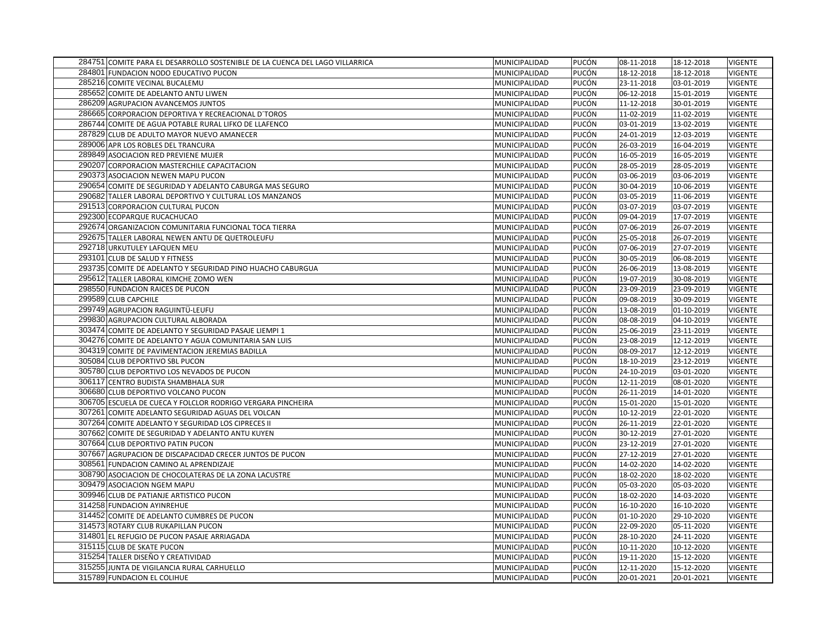| 284751 COMITE PARA EL DESARROLLO SOSTENIBLE DE LA CUENCA DEL LAGO VILLARRICA | MUNICIPALIDAD | PUCÓN        | 08-11-2018 | 18-12-2018 | <b>VIGENTE</b> |
|------------------------------------------------------------------------------|---------------|--------------|------------|------------|----------------|
| 284801 FUNDACION NODO EDUCATIVO PUCON                                        | MUNICIPALIDAD | PUCÓN        | 18-12-2018 | 18-12-2018 | <b>VIGENTE</b> |
| 285216 COMITE VECINAL BUCALEMU                                               | MUNICIPALIDAD | PUCÓN        | 23-11-2018 | 03-01-2019 | <b>VIGENTE</b> |
| 285652 COMITE DE ADELANTO ANTU LIWEN                                         | MUNICIPALIDAD | PUCÓN        | 06-12-2018 | 15-01-2019 | <b>VIGENTE</b> |
| 286209 AGRUPACION AVANCEMOS JUNTOS                                           | MUNICIPALIDAD | PUCÓN        | 11-12-2018 | 30-01-2019 | <b>VIGENTE</b> |
| 286665 CORPORACION DEPORTIVA Y RECREACIONAL D'TOROS                          | MUNICIPALIDAD | PUCÓN        | 11-02-2019 | 11-02-2019 | <b>VIGENTE</b> |
| 286744 COMITE DE AGUA POTABLE RURAL LIFKO DE LLAFENCO                        | MUNICIPALIDAD | PUCÓN        | 03-01-2019 | 13-02-2019 | <b>VIGENTE</b> |
| 287829 CLUB DE ADULTO MAYOR NUEVO AMANECER                                   | MUNICIPALIDAD | PUCÓN        | 24-01-2019 | 12-03-2019 | <b>VIGENTE</b> |
| 289006 APR LOS ROBLES DEL TRANCURA                                           | MUNICIPALIDAD | PUCÓN        | 26-03-2019 | 16-04-2019 | <b>VIGENTE</b> |
| 289849 ASOCIACION RED PREVIENE MUJER                                         | MUNICIPALIDAD | PUCÓN        | 16-05-2019 | 16-05-2019 | <b>VIGENTE</b> |
| 290207 CORPORACION MASTERCHILE CAPACITACION                                  | MUNICIPALIDAD | PUCÓN        | 28-05-2019 | 28-05-2019 | <b>VIGENTE</b> |
| 290373 ASOCIACION NEWEN MAPU PUCON                                           | MUNICIPALIDAD | PUCÓN        | 03-06-2019 | 03-06-2019 | <b>VIGENTE</b> |
| 290654 COMITE DE SEGURIDAD Y ADELANTO CABURGA MAS SEGURO                     | MUNICIPALIDAD | PUCÓN        | 30-04-2019 | 10-06-2019 | <b>VIGENTE</b> |
| 290682 TALLER LABORAL DEPORTIVO Y CULTURAL LOS MANZANOS                      | MUNICIPALIDAD | PUCÓN        | 03-05-2019 | 11-06-2019 | <b>VIGENTE</b> |
| 291513 CORPORACION CULTURAL PUCON                                            | MUNICIPALIDAD | PUCÓN        | 03-07-2019 | 03-07-2019 | <b>VIGENTE</b> |
| 292300 ECOPARQUE RUCACHUCAO                                                  | MUNICIPALIDAD | PUCÓN        | 09-04-2019 | 17-07-2019 | <b>VIGENTE</b> |
| 292674 ORGANIZACION COMUNITARIA FUNCIONAL TOCA TIERRA                        | MUNICIPALIDAD | PUCÓN        | 07-06-2019 | 26-07-2019 | <b>VIGENTE</b> |
| 292675 TALLER LABORAL NEWEN ANTU DE QUETROLEUFU                              | MUNICIPALIDAD | PUCÓN        | 25-05-2018 | 26-07-2019 | <b>VIGENTE</b> |
| 292718 URKUTULEY LAFQUEN MEU                                                 | MUNICIPALIDAD | PUCÓN        | 07-06-2019 | 27-07-2019 | <b>VIGENTE</b> |
| 293101 CLUB DE SALUD Y FITNESS                                               | MUNICIPALIDAD | PUCÓN        | 30-05-2019 | 06-08-2019 | <b>VIGENTE</b> |
| 293735 COMITE DE ADELANTO Y SEGURIDAD PINO HUACHO CABURGUA                   | MUNICIPALIDAD | PUCÓN        | 26-06-2019 | 13-08-2019 | <b>VIGENTE</b> |
| 295612 TALLER LABORAL KIMCHE ZOMO WEN                                        | MUNICIPALIDAD | PUCÓN        | 19-07-2019 | 30-08-2019 | <b>VIGENTE</b> |
| 298550 FUNDACION RAICES DE PUCON                                             | MUNICIPALIDAD | PUCÓN        | 23-09-2019 | 23-09-2019 | <b>VIGENTE</b> |
| 299589 CLUB CAPCHILE                                                         | MUNICIPALIDAD | PUCÓN        | 09-08-2019 | 30-09-2019 | <b>VIGENTE</b> |
| 299749 AGRUPACION RAGUINTÜ-LEUFU                                             | MUNICIPALIDAD | PUCÓN        | 13-08-2019 | 01-10-2019 | <b>VIGENTE</b> |
| 299830 AGRUPACION CULTURAL ALBORADA                                          | MUNICIPALIDAD | PUCÓN        | 08-08-2019 | 04-10-2019 | <b>VIGENTE</b> |
| 303474 COMITE DE ADELANTO Y SEGURIDAD PASAJE LIEMPI 1                        | MUNICIPALIDAD | <b>PUCÓN</b> | 25-06-2019 | 23-11-2019 | <b>VIGENTE</b> |
| 304276 COMITE DE ADELANTO Y AGUA COMUNITARIA SAN LUIS                        | MUNICIPALIDAD | PUCÓN        | 23-08-2019 | 12-12-2019 | <b>VIGENTE</b> |
| 304319 COMITE DE PAVIMENTACION JEREMIAS BADILLA                              | MUNICIPALIDAD | PUCÓN        | 08-09-2017 | 12-12-2019 | <b>VIGENTE</b> |
| 305084 CLUB DEPORTIVO SBL PUCON                                              | MUNICIPALIDAD | PUCÓN        | 18-10-2019 | 23-12-2019 | <b>VIGENTE</b> |
| 305780 CLUB DEPORTIVO LOS NEVADOS DE PUCON                                   | MUNICIPALIDAD | PUCÓN        | 24-10-2019 | 03-01-2020 | <b>VIGENTE</b> |
| 306117 CENTRO BUDISTA SHAMBHALA SUR                                          | MUNICIPALIDAD | PUCÓN        | 12-11-2019 | 08-01-2020 | <b>VIGENTE</b> |
| 306680 CLUB DEPORTIVO VOLCANO PUCON                                          | MUNICIPALIDAD | PUCÓN        | 26-11-2019 | 14-01-2020 | <b>VIGENTE</b> |
| 306705 ESCUELA DE CUECA Y FOLCLOR RODRIGO VERGARA PINCHEIRA                  | MUNICIPALIDAD | PUCÓN        | 15-01-2020 | 15-01-2020 | <b>VIGENTE</b> |
| 307261 COMITE ADELANTO SEGURIDAD AGUAS DEL VOLCAN                            | MUNICIPALIDAD | PUCÓN        | 10-12-2019 | 22-01-2020 | <b>VIGENTE</b> |
| 307264 COMITE ADELANTO Y SEGURIDAD LOS CIPRECES II                           | MUNICIPALIDAD | PUCÓN        | 26-11-2019 | 22-01-2020 | <b>VIGENTE</b> |
| 307662 COMITE DE SEGURIDAD Y ADELANTO ANTU KUYEN                             | MUNICIPALIDAD | PUCÓN        | 30-12-2019 | 27-01-2020 | <b>VIGENTE</b> |
| 307664 CLUB DEPORTIVO PATIN PUCON                                            | MUNICIPALIDAD | PUCÓN        | 23-12-2019 | 27-01-2020 | <b>VIGENTE</b> |
| 307667 AGRUPACION DE DISCAPACIDAD CRECER JUNTOS DE PUCON                     | MUNICIPALIDAD | PUCÓN        | 27-12-2019 | 27-01-2020 | <b>VIGENTE</b> |
| 308561 FUNDACION CAMINO AL APRENDIZAJE                                       | MUNICIPALIDAD | PUCÓN        | 14-02-2020 | 14-02-2020 | <b>VIGENTE</b> |
| 308790 ASOCIACION DE CHOCOLATERAS DE LA ZONA LACUSTRE                        | MUNICIPALIDAD | PUCÓN        | 18-02-2020 | 18-02-2020 | <b>VIGENTE</b> |
| 309479 ASOCIACION NGEM MAPU                                                  | MUNICIPALIDAD | PUCÓN        | 05-03-2020 | 05-03-2020 | <b>VIGENTE</b> |
| 309946 CLUB DE PATIANJE ARTISTICO PUCON                                      | MUNICIPALIDAD | PUCÓN        | 18-02-2020 | 14-03-2020 | <b>VIGENTE</b> |
| 314258 FUNDACION AYINREHUE                                                   | MUNICIPALIDAD | <b>PUCÓN</b> | 16-10-2020 | 16-10-2020 | <b>VIGENTE</b> |
| 314452 COMITE DE ADELANTO CUMBRES DE PUCON                                   | MUNICIPALIDAD | PUCÓN        | 01-10-2020 | 29-10-2020 | <b>VIGENTE</b> |
| 314573 ROTARY CLUB RUKAPILLAN PUCON                                          | MUNICIPALIDAD | PUCÓN        | 22-09-2020 | 05-11-2020 | <b>VIGENTE</b> |
| 314801 EL REFUGIO DE PUCON PASAJE ARRIAGADA                                  | MUNICIPALIDAD | PUCÓN        | 28-10-2020 | 24-11-2020 | <b>VIGENTE</b> |
| 315115 CLUB DE SKATE PUCON                                                   | MUNICIPALIDAD | PUCÓN        | 10-11-2020 | 10-12-2020 | <b>VIGENTE</b> |
| 315254 TALLER DISEÑO Y CREATIVIDAD                                           | MUNICIPALIDAD | PUCÓN        | 19-11-2020 | 15-12-2020 | <b>VIGENTE</b> |
| 315255 JUNTA DE VIGILANCIA RURAL CARHUELLO                                   | MUNICIPALIDAD | PUCÓN        | 12-11-2020 | 15-12-2020 | <b>VIGENTE</b> |
| 315789 FUNDACION EL COLIHUE                                                  | MUNICIPALIDAD | PUCÓN        | 20-01-2021 | 20-01-2021 | <b>VIGENTE</b> |